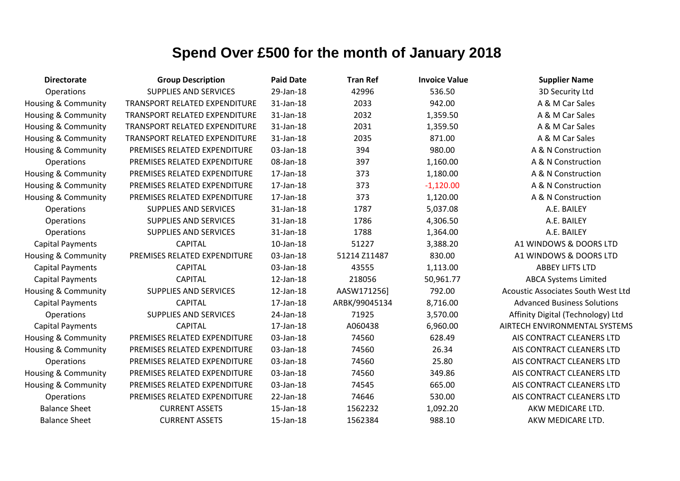| <b>Directorate</b>             | <b>Group Description</b>             | <b>Paid Date</b> | <b>Tran Ref</b> | <b>Invoice Value</b> | <b>Supplier Name</b>               |
|--------------------------------|--------------------------------------|------------------|-----------------|----------------------|------------------------------------|
| Operations                     | <b>SUPPLIES AND SERVICES</b>         | 29-Jan-18        | 42996           | 536.50               | 3D Security Ltd                    |
| Housing & Community            | TRANSPORT RELATED EXPENDITURE        | 31-Jan-18        | 2033            | 942.00               | A & M Car Sales                    |
| Housing & Community            | <b>TRANSPORT RELATED EXPENDITURE</b> | 31-Jan-18        | 2032            | 1,359.50             | A & M Car Sales                    |
| Housing & Community            | TRANSPORT RELATED EXPENDITURE        | 31-Jan-18        | 2031            | 1,359.50             | A & M Car Sales                    |
| <b>Housing &amp; Community</b> | TRANSPORT RELATED EXPENDITURE        | 31-Jan-18        | 2035            | 871.00               | A & M Car Sales                    |
| <b>Housing &amp; Community</b> | PREMISES RELATED EXPENDITURE         | 03-Jan-18        | 394             | 980.00               | A & N Construction                 |
| Operations                     | PREMISES RELATED EXPENDITURE         | 08-Jan-18        | 397             | 1,160.00             | A & N Construction                 |
| <b>Housing &amp; Community</b> | PREMISES RELATED EXPENDITURE         | 17-Jan-18        | 373             | 1,180.00             | A & N Construction                 |
| Housing & Community            | PREMISES RELATED EXPENDITURE         | 17-Jan-18        | 373             | $-1,120.00$          | A & N Construction                 |
| Housing & Community            | PREMISES RELATED EXPENDITURE         | 17-Jan-18        | 373             | 1,120.00             | A & N Construction                 |
| Operations                     | SUPPLIES AND SERVICES                | 31-Jan-18        | 1787            | 5,037.08             | A.E. BAILEY                        |
| Operations                     | SUPPLIES AND SERVICES                | 31-Jan-18        | 1786            | 4,306.50             | A.E. BAILEY                        |
| Operations                     | SUPPLIES AND SERVICES                | 31-Jan-18        | 1788            | 1,364.00             | A.E. BAILEY                        |
| <b>Capital Payments</b>        | <b>CAPITAL</b>                       | 10-Jan-18        | 51227           | 3,388.20             | A1 WINDOWS & DOORS LTD             |
| Housing & Community            | PREMISES RELATED EXPENDITURE         | 03-Jan-18        | 51214 Z11487    | 830.00               | A1 WINDOWS & DOORS LTD             |
| <b>Capital Payments</b>        | <b>CAPITAL</b>                       | 03-Jan-18        | 43555           | 1,113.00             | <b>ABBEY LIFTS LTD</b>             |
| <b>Capital Payments</b>        | <b>CAPITAL</b>                       | 12-Jan-18        | 218056          | 50,961.77            | <b>ABCA Systems Limited</b>        |
| Housing & Community            | SUPPLIES AND SERVICES                | 12-Jan-18        | AASW171256]     | 792.00               | Acoustic Associates South West Ltd |
| <b>Capital Payments</b>        | <b>CAPITAL</b>                       | 17-Jan-18        | ARBK/99045134   | 8,716.00             | <b>Advanced Business Solutions</b> |
| Operations                     | <b>SUPPLIES AND SERVICES</b>         | 24-Jan-18        | 71925           | 3,570.00             | Affinity Digital (Technology) Ltd  |
| <b>Capital Payments</b>        | <b>CAPITAL</b>                       | 17-Jan-18        | A060438         | 6,960.00             | AIRTECH ENVIRONMENTAL SYSTEMS      |
| <b>Housing &amp; Community</b> | PREMISES RELATED EXPENDITURE         | 03-Jan-18        | 74560           | 628.49               | AIS CONTRACT CLEANERS LTD          |
| Housing & Community            | PREMISES RELATED EXPENDITURE         | 03-Jan-18        | 74560           | 26.34                | AIS CONTRACT CLEANERS LTD          |
| Operations                     | PREMISES RELATED EXPENDITURE         | 03-Jan-18        | 74560           | 25.80                | AIS CONTRACT CLEANERS LTD          |
| Housing & Community            | PREMISES RELATED EXPENDITURE         | 03-Jan-18        | 74560           | 349.86               | AIS CONTRACT CLEANERS LTD          |
| Housing & Community            | PREMISES RELATED EXPENDITURE         | 03-Jan-18        | 74545           | 665.00               | AIS CONTRACT CLEANERS LTD          |
| Operations                     | PREMISES RELATED EXPENDITURE         | 22-Jan-18        | 74646           | 530.00               | AIS CONTRACT CLEANERS LTD          |
| <b>Balance Sheet</b>           | <b>CURRENT ASSETS</b>                | 15-Jan-18        | 1562232         | 1,092.20             | AKW MEDICARE LTD.                  |
| <b>Balance Sheet</b>           | <b>CURRENT ASSETS</b>                | 15-Jan-18        | 1562384         | 988.10               | AKW MEDICARE LTD.                  |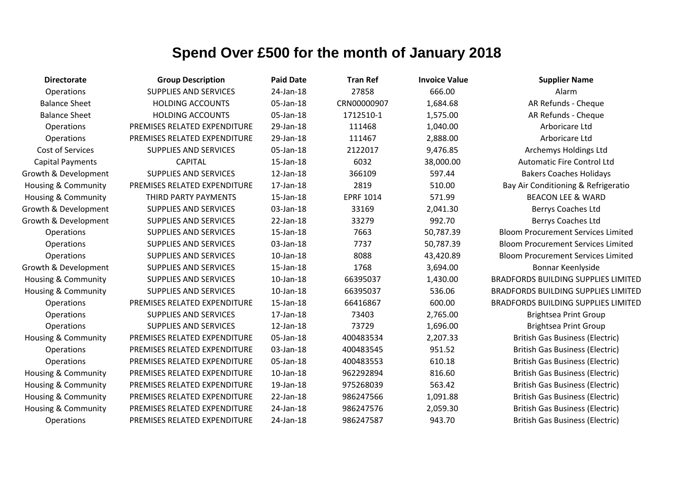| <b>Directorate</b>             | <b>Group Description</b>     | <b>Paid Date</b> | <b>Tran Ref</b>  | <b>Invoice Value</b> | <b>Supplier Name</b>                       |
|--------------------------------|------------------------------|------------------|------------------|----------------------|--------------------------------------------|
| Operations                     | <b>SUPPLIES AND SERVICES</b> | 24-Jan-18        | 27858            | 666.00               | Alarm                                      |
| <b>Balance Sheet</b>           | <b>HOLDING ACCOUNTS</b>      | 05-Jan-18        | CRN00000907      | 1,684.68             | AR Refunds - Cheque                        |
| <b>Balance Sheet</b>           | <b>HOLDING ACCOUNTS</b>      | 05-Jan-18        | 1712510-1        | 1,575.00             | AR Refunds - Cheque                        |
| Operations                     | PREMISES RELATED EXPENDITURE | 29-Jan-18        | 111468           | 1,040.00             | Arboricare Ltd                             |
| Operations                     | PREMISES RELATED EXPENDITURE | 29-Jan-18        | 111467           | 2,888.00             | Arboricare Ltd                             |
| <b>Cost of Services</b>        | <b>SUPPLIES AND SERVICES</b> | 05-Jan-18        | 2122017          | 9,476.85             | Archemys Holdings Ltd                      |
| <b>Capital Payments</b>        | <b>CAPITAL</b>               | 15-Jan-18        | 6032             | 38,000.00            | <b>Automatic Fire Control Ltd</b>          |
| Growth & Development           | <b>SUPPLIES AND SERVICES</b> | 12-Jan-18        | 366109           | 597.44               | <b>Bakers Coaches Holidays</b>             |
| Housing & Community            | PREMISES RELATED EXPENDITURE | 17-Jan-18        | 2819             | 510.00               | Bay Air Conditioning & Refrigeratio        |
| <b>Housing &amp; Community</b> | THIRD PARTY PAYMENTS         | 15-Jan-18        | <b>EPRF 1014</b> | 571.99               | <b>BEACON LEE &amp; WARD</b>               |
| Growth & Development           | <b>SUPPLIES AND SERVICES</b> | 03-Jan-18        | 33169            | 2,041.30             | Berrys Coaches Ltd                         |
| Growth & Development           | <b>SUPPLIES AND SERVICES</b> | 22-Jan-18        | 33279            | 992.70               | Berrys Coaches Ltd                         |
| Operations                     | <b>SUPPLIES AND SERVICES</b> | 15-Jan-18        | 7663             | 50,787.39            | <b>Bloom Procurement Services Limited</b>  |
| Operations                     | <b>SUPPLIES AND SERVICES</b> | 03-Jan-18        | 7737             | 50,787.39            | <b>Bloom Procurement Services Limited</b>  |
| Operations                     | <b>SUPPLIES AND SERVICES</b> | $10$ -Jan- $18$  | 8088             | 43,420.89            | <b>Bloom Procurement Services Limited</b>  |
| Growth & Development           | <b>SUPPLIES AND SERVICES</b> | 15-Jan-18        | 1768             | 3,694.00             | Bonnar Keenlyside                          |
| Housing & Community            | <b>SUPPLIES AND SERVICES</b> | $10$ -Jan- $18$  | 66395037         | 1,430.00             | <b>BRADFORDS BUILDING SUPPLIES LIMITED</b> |
| <b>Housing &amp; Community</b> | <b>SUPPLIES AND SERVICES</b> | $10$ -Jan- $18$  | 66395037         | 536.06               | <b>BRADFORDS BUILDING SUPPLIES LIMITED</b> |
| Operations                     | PREMISES RELATED EXPENDITURE | 15-Jan-18        | 66416867         | 600.00               | <b>BRADFORDS BUILDING SUPPLIES LIMITED</b> |
| Operations                     | <b>SUPPLIES AND SERVICES</b> | 17-Jan-18        | 73403            | 2,765.00             | <b>Brightsea Print Group</b>               |
| Operations                     | SUPPLIES AND SERVICES        | 12-Jan-18        | 73729            | 1,696.00             | <b>Brightsea Print Group</b>               |
| <b>Housing &amp; Community</b> | PREMISES RELATED EXPENDITURE | 05-Jan-18        | 400483534        | 2,207.33             | <b>British Gas Business (Electric)</b>     |
| Operations                     | PREMISES RELATED EXPENDITURE | 03-Jan-18        | 400483545        | 951.52               | <b>British Gas Business (Electric)</b>     |
| Operations                     | PREMISES RELATED EXPENDITURE | 05-Jan-18        | 400483553        | 610.18               | <b>British Gas Business (Electric)</b>     |
| Housing & Community            | PREMISES RELATED EXPENDITURE | 10-Jan-18        | 962292894        | 816.60               | <b>British Gas Business (Electric)</b>     |
| <b>Housing &amp; Community</b> | PREMISES RELATED EXPENDITURE | 19-Jan-18        | 975268039        | 563.42               | <b>British Gas Business (Electric)</b>     |
| Housing & Community            | PREMISES RELATED EXPENDITURE | 22-Jan-18        | 986247566        | 1,091.88             | <b>British Gas Business (Electric)</b>     |
| <b>Housing &amp; Community</b> | PREMISES RELATED EXPENDITURE | 24-Jan-18        | 986247576        | 2,059.30             | <b>British Gas Business (Electric)</b>     |
| Operations                     | PREMISES RELATED EXPENDITURE | 24-Jan-18        | 986247587        | 943.70               | <b>British Gas Business (Electric)</b>     |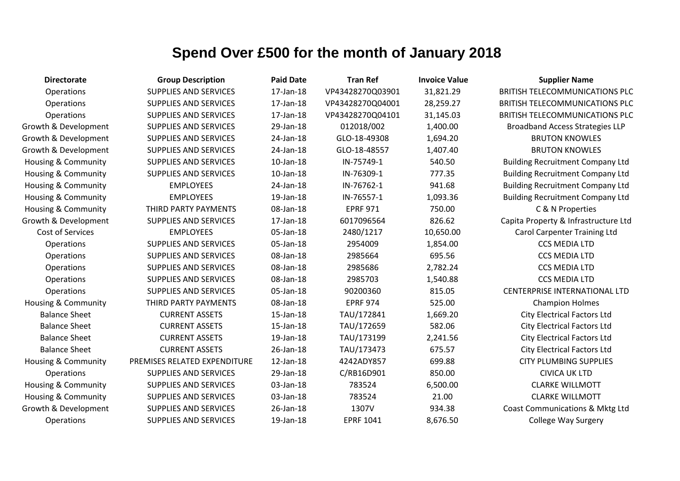| <b>Directorate</b>             | <b>Group Description</b>     | <b>Paid Date</b> | <b>Tran Ref</b>  | <b>Invoice Value</b> | <b>Supplier Name</b>                    |
|--------------------------------|------------------------------|------------------|------------------|----------------------|-----------------------------------------|
| Operations                     | <b>SUPPLIES AND SERVICES</b> | 17-Jan-18        | VP43428270Q03901 | 31,821.29            | <b>BRITISH TELECOMMUNICATIONS PLC</b>   |
| Operations                     | <b>SUPPLIES AND SERVICES</b> | 17-Jan-18        | VP43428270Q04001 | 28,259.27            | <b>BRITISH TELECOMMUNICATIONS PLC</b>   |
| Operations                     | SUPPLIES AND SERVICES        | 17-Jan-18        | VP43428270Q04101 | 31,145.03            | <b>BRITISH TELECOMMUNICATIONS PLC</b>   |
| Growth & Development           | <b>SUPPLIES AND SERVICES</b> | 29-Jan-18        | 012018/002       | 1,400.00             | <b>Broadband Access Strategies LLP</b>  |
| Growth & Development           | <b>SUPPLIES AND SERVICES</b> | 24-Jan-18        | GLO-18-49308     | 1,694.20             | <b>BRUTON KNOWLES</b>                   |
| Growth & Development           | <b>SUPPLIES AND SERVICES</b> | 24-Jan-18        | GLO-18-48557     | 1,407.40             | <b>BRUTON KNOWLES</b>                   |
| Housing & Community            | SUPPLIES AND SERVICES        | 10-Jan-18        | IN-75749-1       | 540.50               | <b>Building Recruitment Company Ltd</b> |
| Housing & Community            | <b>SUPPLIES AND SERVICES</b> | $10$ -Jan- $18$  | IN-76309-1       | 777.35               | <b>Building Recruitment Company Ltd</b> |
| Housing & Community            | <b>EMPLOYEES</b>             | 24-Jan-18        | IN-76762-1       | 941.68               | <b>Building Recruitment Company Ltd</b> |
| Housing & Community            | <b>EMPLOYEES</b>             | 19-Jan-18        | IN-76557-1       | 1,093.36             | <b>Building Recruitment Company Ltd</b> |
| Housing & Community            | THIRD PARTY PAYMENTS         | 08-Jan-18        | <b>EPRF 971</b>  | 750.00               | C & N Properties                        |
| Growth & Development           | <b>SUPPLIES AND SERVICES</b> | 17-Jan-18        | 6017096564       | 826.62               | Capita Property & Infrastructure Ltd    |
| Cost of Services               | <b>EMPLOYEES</b>             | 05-Jan-18        | 2480/1217        | 10,650.00            | <b>Carol Carpenter Training Ltd</b>     |
| Operations                     | <b>SUPPLIES AND SERVICES</b> | 05-Jan-18        | 2954009          | 1,854.00             | <b>CCS MEDIA LTD</b>                    |
| Operations                     | SUPPLIES AND SERVICES        | 08-Jan-18        | 2985664          | 695.56               | <b>CCS MEDIA LTD</b>                    |
| Operations                     | <b>SUPPLIES AND SERVICES</b> | 08-Jan-18        | 2985686          | 2,782.24             | <b>CCS MEDIA LTD</b>                    |
| Operations                     | <b>SUPPLIES AND SERVICES</b> | 08-Jan-18        | 2985703          | 1,540.88             | <b>CCS MEDIA LTD</b>                    |
| Operations                     | <b>SUPPLIES AND SERVICES</b> | 05-Jan-18        | 90200360         | 815.05               | <b>CENTERPRISE INTERNATIONAL LTD</b>    |
| <b>Housing &amp; Community</b> | THIRD PARTY PAYMENTS         | 08-Jan-18        | <b>EPRF 974</b>  | 525.00               | <b>Champion Holmes</b>                  |
| <b>Balance Sheet</b>           | <b>CURRENT ASSETS</b>        | 15-Jan-18        | TAU/172841       | 1,669.20             | <b>City Electrical Factors Ltd</b>      |
| <b>Balance Sheet</b>           | <b>CURRENT ASSETS</b>        | 15-Jan-18        | TAU/172659       | 582.06               | <b>City Electrical Factors Ltd</b>      |
| <b>Balance Sheet</b>           | <b>CURRENT ASSETS</b>        | 19-Jan-18        | TAU/173199       | 2,241.56             | <b>City Electrical Factors Ltd</b>      |
| <b>Balance Sheet</b>           | <b>CURRENT ASSETS</b>        | 26-Jan-18        | TAU/173473       | 675.57               | <b>City Electrical Factors Ltd</b>      |
| <b>Housing &amp; Community</b> | PREMISES RELATED EXPENDITURE | 12-Jan-18        | 4242ADY857       | 699.88               | <b>CITY PLUMBING SUPPLIES</b>           |
| Operations                     | SUPPLIES AND SERVICES        | 29-Jan-18        | C/RB16D901       | 850.00               | <b>CIVICA UK LTD</b>                    |
| Housing & Community            | SUPPLIES AND SERVICES        | 03-Jan-18        | 783524           | 6,500.00             | <b>CLARKE WILLMOTT</b>                  |
| Housing & Community            | SUPPLIES AND SERVICES        | 03-Jan-18        | 783524           | 21.00                | <b>CLARKE WILLMOTT</b>                  |
| Growth & Development           | <b>SUPPLIES AND SERVICES</b> | 26-Jan-18        | 1307V            | 934.38               | Coast Communications & Mktg Ltd         |
| Operations                     | <b>SUPPLIES AND SERVICES</b> | 19-Jan-18        | <b>EPRF 1041</b> | 8,676.50             | College Way Surgery                     |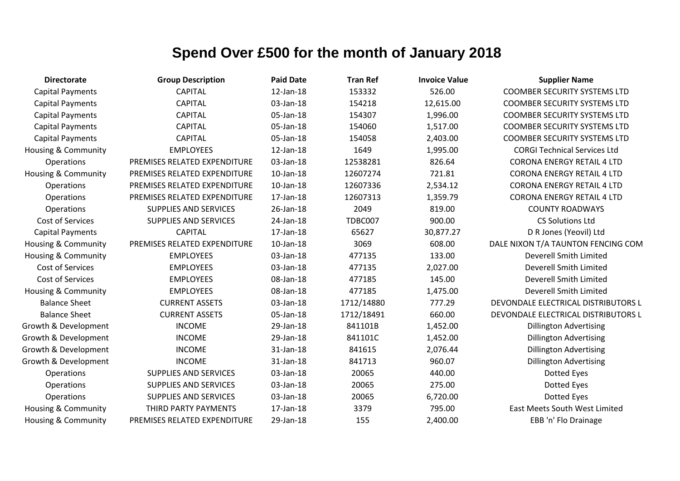| <b>Directorate</b>             | <b>Group Description</b>     | <b>Paid Date</b> | <b>Tran Ref</b> | <b>Invoice Value</b> | <b>Supplier Name</b>                 |
|--------------------------------|------------------------------|------------------|-----------------|----------------------|--------------------------------------|
| <b>Capital Payments</b>        | <b>CAPITAL</b>               | 12-Jan-18        | 153332          | 526.00               | <b>COOMBER SECURITY SYSTEMS LTD</b>  |
| <b>Capital Payments</b>        | <b>CAPITAL</b>               | 03-Jan-18        | 154218          | 12,615.00            | <b>COOMBER SECURITY SYSTEMS LTD</b>  |
| <b>Capital Payments</b>        | <b>CAPITAL</b>               | 05-Jan-18        | 154307          | 1,996.00             | <b>COOMBER SECURITY SYSTEMS LTD</b>  |
| <b>Capital Payments</b>        | <b>CAPITAL</b>               | 05-Jan-18        | 154060          | 1,517.00             | <b>COOMBER SECURITY SYSTEMS LTD</b>  |
| <b>Capital Payments</b>        | <b>CAPITAL</b>               | 05-Jan-18        | 154058          | 2,403.00             | <b>COOMBER SECURITY SYSTEMS LTD</b>  |
| <b>Housing &amp; Community</b> | <b>EMPLOYEES</b>             | 12-Jan-18        | 1649            | 1,995.00             | <b>CORGI Technical Services Ltd</b>  |
| Operations                     | PREMISES RELATED EXPENDITURE | 03-Jan-18        | 12538281        | 826.64               | <b>CORONA ENERGY RETAIL 4 LTD</b>    |
| <b>Housing &amp; Community</b> | PREMISES RELATED EXPENDITURE | 10-Jan-18        | 12607274        | 721.81               | <b>CORONA ENERGY RETAIL 4 LTD</b>    |
| Operations                     | PREMISES RELATED EXPENDITURE | $10$ -Jan- $18$  | 12607336        | 2,534.12             | <b>CORONA ENERGY RETAIL 4 LTD</b>    |
| Operations                     | PREMISES RELATED EXPENDITURE | 17-Jan-18        | 12607313        | 1,359.79             | <b>CORONA ENERGY RETAIL 4 LTD</b>    |
| Operations                     | <b>SUPPLIES AND SERVICES</b> | 26-Jan-18        | 2049            | 819.00               | <b>COUNTY ROADWAYS</b>               |
| Cost of Services               | <b>SUPPLIES AND SERVICES</b> | 24-Jan-18        | TDBC007         | 900.00               | <b>CS Solutions Ltd</b>              |
| <b>Capital Payments</b>        | <b>CAPITAL</b>               | 17-Jan-18        | 65627           | 30,877.27            | D R Jones (Yeovil) Ltd               |
| Housing & Community            | PREMISES RELATED EXPENDITURE | $10$ -Jan- $18$  | 3069            | 608.00               | DALE NIXON T/A TAUNTON FENCING COM   |
| Housing & Community            | <b>EMPLOYEES</b>             | 03-Jan-18        | 477135          | 133.00               | Deverell Smith Limited               |
| Cost of Services               | <b>EMPLOYEES</b>             | 03-Jan-18        | 477135          | 2,027.00             | <b>Deverell Smith Limited</b>        |
| Cost of Services               | <b>EMPLOYEES</b>             | 08-Jan-18        | 477185          | 145.00               | Deverell Smith Limited               |
| <b>Housing &amp; Community</b> | <b>EMPLOYEES</b>             | 08-Jan-18        | 477185          | 1,475.00             | Deverell Smith Limited               |
| <b>Balance Sheet</b>           | <b>CURRENT ASSETS</b>        | 03-Jan-18        | 1712/14880      | 777.29               | DEVONDALE ELECTRICAL DISTRIBUTORS L  |
| <b>Balance Sheet</b>           | <b>CURRENT ASSETS</b>        | 05-Jan-18        | 1712/18491      | 660.00               | DEVONDALE ELECTRICAL DISTRIBUTORS L  |
| Growth & Development           | <b>INCOME</b>                | 29-Jan-18        | 841101B         | 1,452.00             | <b>Dillington Advertising</b>        |
| Growth & Development           | <b>INCOME</b>                | 29-Jan-18        | 841101C         | 1,452.00             | <b>Dillington Advertising</b>        |
| Growth & Development           | <b>INCOME</b>                | 31-Jan-18        | 841615          | 2,076.44             | <b>Dillington Advertising</b>        |
| Growth & Development           | <b>INCOME</b>                | 31-Jan-18        | 841713          | 960.07               | <b>Dillington Advertising</b>        |
| Operations                     | <b>SUPPLIES AND SERVICES</b> | 03-Jan-18        | 20065           | 440.00               | Dotted Eyes                          |
| Operations                     | <b>SUPPLIES AND SERVICES</b> | 03-Jan-18        | 20065           | 275.00               | Dotted Eyes                          |
| Operations                     | <b>SUPPLIES AND SERVICES</b> | 03-Jan-18        | 20065           | 6,720.00             | Dotted Eyes                          |
| Housing & Community            | THIRD PARTY PAYMENTS         | 17-Jan-18        | 3379            | 795.00               | <b>East Meets South West Limited</b> |
| Housing & Community            | PREMISES RELATED EXPENDITURE | 29-Jan-18        | 155             | 2,400.00             | EBB 'n' Flo Drainage                 |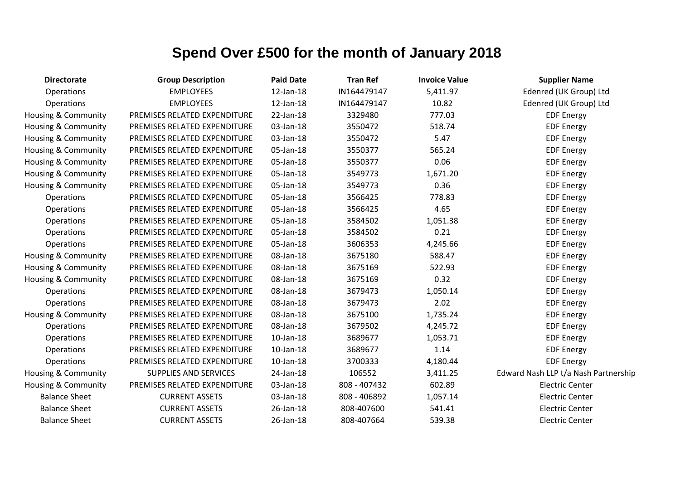| <b>Directorate</b>             | <b>Group Description</b>     | <b>Paid Date</b> | <b>Tran Ref</b> | <b>Invoice Value</b> | <b>Supplier Name</b>                 |
|--------------------------------|------------------------------|------------------|-----------------|----------------------|--------------------------------------|
| Operations                     | <b>EMPLOYEES</b>             | 12-Jan-18        | IN164479147     | 5,411.97             | Edenred (UK Group) Ltd               |
| Operations                     | <b>EMPLOYEES</b>             | 12-Jan-18        | IN164479147     | 10.82                | Edenred (UK Group) Ltd               |
| <b>Housing &amp; Community</b> | PREMISES RELATED EXPENDITURE | 22-Jan-18        | 3329480         | 777.03               | <b>EDF Energy</b>                    |
| <b>Housing &amp; Community</b> | PREMISES RELATED EXPENDITURE | 03-Jan-18        | 3550472         | 518.74               | <b>EDF Energy</b>                    |
| <b>Housing &amp; Community</b> | PREMISES RELATED EXPENDITURE | 03-Jan-18        | 3550472         | 5.47                 | <b>EDF Energy</b>                    |
| <b>Housing &amp; Community</b> | PREMISES RELATED EXPENDITURE | 05-Jan-18        | 3550377         | 565.24               | <b>EDF Energy</b>                    |
| Housing & Community            | PREMISES RELATED EXPENDITURE | 05-Jan-18        | 3550377         | 0.06                 | <b>EDF Energy</b>                    |
| <b>Housing &amp; Community</b> | PREMISES RELATED EXPENDITURE | 05-Jan-18        | 3549773         | 1,671.20             | <b>EDF Energy</b>                    |
| <b>Housing &amp; Community</b> | PREMISES RELATED EXPENDITURE | 05-Jan-18        | 3549773         | 0.36                 | <b>EDF Energy</b>                    |
| Operations                     | PREMISES RELATED EXPENDITURE | 05-Jan-18        | 3566425         | 778.83               | <b>EDF Energy</b>                    |
| Operations                     | PREMISES RELATED EXPENDITURE | 05-Jan-18        | 3566425         | 4.65                 | <b>EDF Energy</b>                    |
| Operations                     | PREMISES RELATED EXPENDITURE | 05-Jan-18        | 3584502         | 1,051.38             | <b>EDF Energy</b>                    |
| Operations                     | PREMISES RELATED EXPENDITURE | 05-Jan-18        | 3584502         | 0.21                 | <b>EDF Energy</b>                    |
| Operations                     | PREMISES RELATED EXPENDITURE | 05-Jan-18        | 3606353         | 4,245.66             | <b>EDF Energy</b>                    |
| Housing & Community            | PREMISES RELATED EXPENDITURE | 08-Jan-18        | 3675180         | 588.47               | <b>EDF Energy</b>                    |
| <b>Housing &amp; Community</b> | PREMISES RELATED EXPENDITURE | 08-Jan-18        | 3675169         | 522.93               | <b>EDF Energy</b>                    |
| <b>Housing &amp; Community</b> | PREMISES RELATED EXPENDITURE | 08-Jan-18        | 3675169         | 0.32                 | <b>EDF Energy</b>                    |
| <b>Operations</b>              | PREMISES RELATED EXPENDITURE | 08-Jan-18        | 3679473         | 1,050.14             | <b>EDF Energy</b>                    |
| <b>Operations</b>              | PREMISES RELATED EXPENDITURE | 08-Jan-18        | 3679473         | 2.02                 | <b>EDF Energy</b>                    |
| <b>Housing &amp; Community</b> | PREMISES RELATED EXPENDITURE | 08-Jan-18        | 3675100         | 1,735.24             | <b>EDF Energy</b>                    |
| Operations                     | PREMISES RELATED EXPENDITURE | 08-Jan-18        | 3679502         | 4,245.72             | <b>EDF Energy</b>                    |
| Operations                     | PREMISES RELATED EXPENDITURE | $10$ -Jan- $18$  | 3689677         | 1,053.71             | <b>EDF Energy</b>                    |
| Operations                     | PREMISES RELATED EXPENDITURE | $10$ -Jan- $18$  | 3689677         | 1.14                 | <b>EDF Energy</b>                    |
| <b>Operations</b>              | PREMISES RELATED EXPENDITURE | 10-Jan-18        | 3700333         | 4,180.44             | <b>EDF Energy</b>                    |
| <b>Housing &amp; Community</b> | <b>SUPPLIES AND SERVICES</b> | 24-Jan-18        | 106552          | 3,411.25             | Edward Nash LLP t/a Nash Partnership |
| <b>Housing &amp; Community</b> | PREMISES RELATED EXPENDITURE | 03-Jan-18        | 808 - 407432    | 602.89               | <b>Electric Center</b>               |
| <b>Balance Sheet</b>           | <b>CURRENT ASSETS</b>        | 03-Jan-18        | 808 - 406892    | 1,057.14             | <b>Electric Center</b>               |
| <b>Balance Sheet</b>           | <b>CURRENT ASSETS</b>        | 26-Jan-18        | 808-407600      | 541.41               | <b>Electric Center</b>               |
| <b>Balance Sheet</b>           | <b>CURRENT ASSETS</b>        | 26-Jan-18        | 808-407664      | 539.38               | <b>Electric Center</b>               |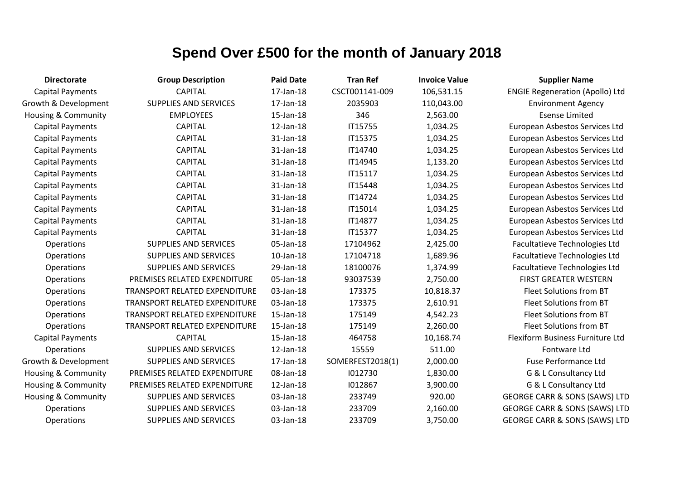| <b>Directorate</b>             | <b>Group Description</b>             | <b>Paid Date</b> | <b>Tran Ref</b>  | <b>Invoice Value</b> | <b>Supplier Name</b>                     |
|--------------------------------|--------------------------------------|------------------|------------------|----------------------|------------------------------------------|
| <b>Capital Payments</b>        | <b>CAPITAL</b>                       | 17-Jan-18        | CSCT001141-009   | 106,531.15           | <b>ENGIE Regeneration (Apollo) Ltd</b>   |
| Growth & Development           | <b>SUPPLIES AND SERVICES</b>         | 17-Jan-18        | 2035903          | 110,043.00           | <b>Environment Agency</b>                |
| <b>Housing &amp; Community</b> | <b>EMPLOYEES</b>                     | 15-Jan-18        | 346              | 2,563.00             | <b>Esense Limited</b>                    |
| <b>Capital Payments</b>        | <b>CAPITAL</b>                       | 12-Jan-18        | IT15755          | 1,034.25             | European Asbestos Services Ltd           |
| <b>Capital Payments</b>        | <b>CAPITAL</b>                       | 31-Jan-18        | IT15375          | 1,034.25             | European Asbestos Services Ltd           |
| <b>Capital Payments</b>        | <b>CAPITAL</b>                       | 31-Jan-18        | IT14740          | 1,034.25             | European Asbestos Services Ltd           |
| <b>Capital Payments</b>        | <b>CAPITAL</b>                       | 31-Jan-18        | IT14945          | 1,133.20             | European Asbestos Services Ltd           |
| <b>Capital Payments</b>        | <b>CAPITAL</b>                       | 31-Jan-18        | IT15117          | 1,034.25             | European Asbestos Services Ltd           |
| <b>Capital Payments</b>        | <b>CAPITAL</b>                       | 31-Jan-18        | IT15448          | 1,034.25             | European Asbestos Services Ltd           |
| <b>Capital Payments</b>        | <b>CAPITAL</b>                       | 31-Jan-18        | IT14724          | 1,034.25             | European Asbestos Services Ltd           |
| <b>Capital Payments</b>        | <b>CAPITAL</b>                       | 31-Jan-18        | IT15014          | 1,034.25             | European Asbestos Services Ltd           |
| <b>Capital Payments</b>        | <b>CAPITAL</b>                       | 31-Jan-18        | IT14877          | 1,034.25             | European Asbestos Services Ltd           |
| <b>Capital Payments</b>        | <b>CAPITAL</b>                       | 31-Jan-18        | <b>IT15377</b>   | 1,034.25             | European Asbestos Services Ltd           |
| Operations                     | <b>SUPPLIES AND SERVICES</b>         | 05-Jan-18        | 17104962         | 2,425.00             | Facultatieve Technologies Ltd            |
| Operations                     | SUPPLIES AND SERVICES                | $10$ -Jan- $18$  | 17104718         | 1,689.96             | Facultatieve Technologies Ltd            |
| Operations                     | SUPPLIES AND SERVICES                | 29-Jan-18        | 18100076         | 1,374.99             | <b>Facultatieve Technologies Ltd</b>     |
| Operations                     | PREMISES RELATED EXPENDITURE         | 05-Jan-18        | 93037539         | 2,750.00             | <b>FIRST GREATER WESTERN</b>             |
| Operations                     | TRANSPORT RELATED EXPENDITURE        | 03-Jan-18        | 173375           | 10,818.37            | Fleet Solutions from BT                  |
| Operations                     | TRANSPORT RELATED EXPENDITURE        | 03-Jan-18        | 173375           | 2,610.91             | Fleet Solutions from BT                  |
| <b>Operations</b>              | <b>TRANSPORT RELATED EXPENDITURE</b> | 15-Jan-18        | 175149           | 4,542.23             | Fleet Solutions from BT                  |
| Operations                     | TRANSPORT RELATED EXPENDITURE        | 15-Jan-18        | 175149           | 2,260.00             | Fleet Solutions from BT                  |
| <b>Capital Payments</b>        | <b>CAPITAL</b>                       | 15-Jan-18        | 464758           | 10,168.74            | Flexiform Business Furniture Ltd         |
| <b>Operations</b>              | SUPPLIES AND SERVICES                | 12-Jan-18        | 15559            | 511.00               | Fontware Ltd                             |
| Growth & Development           | <b>SUPPLIES AND SERVICES</b>         | 17-Jan-18        | SOMERFEST2018(1) | 2,000.00             | Fuse Performance Ltd                     |
| <b>Housing &amp; Community</b> | PREMISES RELATED EXPENDITURE         | 08-Jan-18        | 1012730          | 1,830.00             | G & L Consultancy Ltd                    |
| <b>Housing &amp; Community</b> | PREMISES RELATED EXPENDITURE         | 12-Jan-18        | 1012867          | 3,900.00             | G & L Consultancy Ltd                    |
| Housing & Community            | SUPPLIES AND SERVICES                | 03-Jan-18        | 233749           | 920.00               | <b>GEORGE CARR &amp; SONS (SAWS) LTD</b> |
| Operations                     | SUPPLIES AND SERVICES                | 03-Jan-18        | 233709           | 2,160.00             | <b>GEORGE CARR &amp; SONS (SAWS) LTD</b> |
| Operations                     | <b>SUPPLIES AND SERVICES</b>         | 03-Jan-18        | 233709           | 3,750.00             | <b>GEORGE CARR &amp; SONS (SAWS) LTD</b> |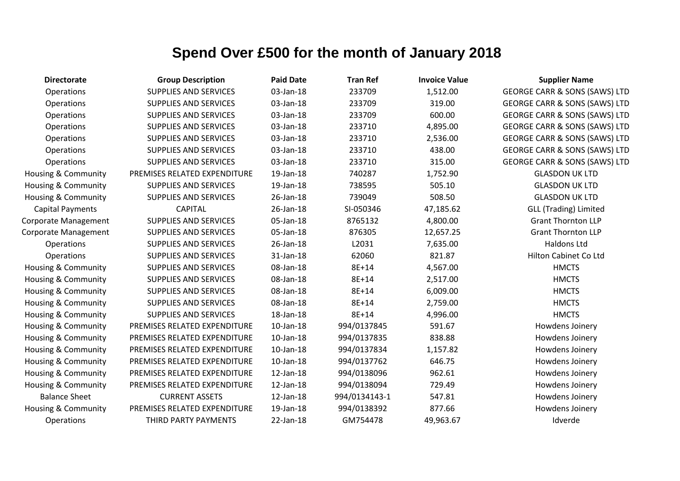| <b>Directorate</b>             | <b>Group Description</b>     | <b>Paid Date</b> | <b>Tran Ref</b> | <b>Invoice Value</b> | <b>Supplier Name</b>                     |
|--------------------------------|------------------------------|------------------|-----------------|----------------------|------------------------------------------|
| Operations                     | <b>SUPPLIES AND SERVICES</b> | 03-Jan-18        | 233709          | 1,512.00             | <b>GEORGE CARR &amp; SONS (SAWS) LTD</b> |
| <b>Operations</b>              | <b>SUPPLIES AND SERVICES</b> | 03-Jan-18        | 233709          | 319.00               | <b>GEORGE CARR &amp; SONS (SAWS) LTD</b> |
| Operations                     | <b>SUPPLIES AND SERVICES</b> | 03-Jan-18        | 233709          | 600.00               | <b>GEORGE CARR &amp; SONS (SAWS) LTD</b> |
| Operations                     | <b>SUPPLIES AND SERVICES</b> | 03-Jan-18        | 233710          | 4,895.00             | <b>GEORGE CARR &amp; SONS (SAWS) LTD</b> |
| Operations                     | <b>SUPPLIES AND SERVICES</b> | 03-Jan-18        | 233710          | 2,536.00             | <b>GEORGE CARR &amp; SONS (SAWS) LTD</b> |
| Operations                     | <b>SUPPLIES AND SERVICES</b> | 03-Jan-18        | 233710          | 438.00               | <b>GEORGE CARR &amp; SONS (SAWS) LTD</b> |
| Operations                     | <b>SUPPLIES AND SERVICES</b> | 03-Jan-18        | 233710          | 315.00               | <b>GEORGE CARR &amp; SONS (SAWS) LTD</b> |
| Housing & Community            | PREMISES RELATED EXPENDITURE | 19-Jan-18        | 740287          | 1,752.90             | <b>GLASDON UK LTD</b>                    |
| <b>Housing &amp; Community</b> | <b>SUPPLIES AND SERVICES</b> | 19-Jan-18        | 738595          | 505.10               | <b>GLASDON UK LTD</b>                    |
| Housing & Community            | <b>SUPPLIES AND SERVICES</b> | 26-Jan-18        | 739049          | 508.50               | <b>GLASDON UK LTD</b>                    |
| <b>Capital Payments</b>        | <b>CAPITAL</b>               | 26-Jan-18        | SI-050346       | 47,185.62            | <b>GLL (Trading) Limited</b>             |
| Corporate Management           | <b>SUPPLIES AND SERVICES</b> | 05-Jan-18        | 8765132         | 4,800.00             | <b>Grant Thornton LLP</b>                |
| Corporate Management           | <b>SUPPLIES AND SERVICES</b> | 05-Jan-18        | 876305          | 12,657.25            | <b>Grant Thornton LLP</b>                |
| Operations                     | <b>SUPPLIES AND SERVICES</b> | 26-Jan-18        | L2031           | 7,635.00             | Haldons Ltd                              |
| Operations                     | <b>SUPPLIES AND SERVICES</b> | 31-Jan-18        | 62060           | 821.87               | Hilton Cabinet Co Ltd                    |
| <b>Housing &amp; Community</b> | <b>SUPPLIES AND SERVICES</b> | 08-Jan-18        | 8E+14           | 4,567.00             | <b>HMCTS</b>                             |
| <b>Housing &amp; Community</b> | <b>SUPPLIES AND SERVICES</b> | 08-Jan-18        | 8E+14           | 2,517.00             | <b>HMCTS</b>                             |
| Housing & Community            | <b>SUPPLIES AND SERVICES</b> | 08-Jan-18        | 8E+14           | 6,009.00             | <b>HMCTS</b>                             |
| Housing & Community            | <b>SUPPLIES AND SERVICES</b> | 08-Jan-18        | 8E+14           | 2,759.00             | <b>HMCTS</b>                             |
| Housing & Community            | <b>SUPPLIES AND SERVICES</b> | 18-Jan-18        | 8E+14           | 4,996.00             | <b>HMCTS</b>                             |
| <b>Housing &amp; Community</b> | PREMISES RELATED EXPENDITURE | $10$ -Jan- $18$  | 994/0137845     | 591.67               | Howdens Joinery                          |
| <b>Housing &amp; Community</b> | PREMISES RELATED EXPENDITURE | $10$ -Jan- $18$  | 994/0137835     | 838.88               | Howdens Joinery                          |
| Housing & Community            | PREMISES RELATED EXPENDITURE | $10$ -Jan- $18$  | 994/0137834     | 1,157.82             | Howdens Joinery                          |
| Housing & Community            | PREMISES RELATED EXPENDITURE | $10$ -Jan- $18$  | 994/0137762     | 646.75               | Howdens Joinery                          |
| <b>Housing &amp; Community</b> | PREMISES RELATED EXPENDITURE | 12-Jan-18        | 994/0138096     | 962.61               | Howdens Joinery                          |
| Housing & Community            | PREMISES RELATED EXPENDITURE | 12-Jan-18        | 994/0138094     | 729.49               | Howdens Joinery                          |
| <b>Balance Sheet</b>           | <b>CURRENT ASSETS</b>        | 12-Jan-18        | 994/0134143-1   | 547.81               | Howdens Joinery                          |
| Housing & Community            | PREMISES RELATED EXPENDITURE | 19-Jan-18        | 994/0138392     | 877.66               | Howdens Joinery                          |
| Operations                     | THIRD PARTY PAYMENTS         | 22-Jan-18        | GM754478        | 49,963.67            | Idverde                                  |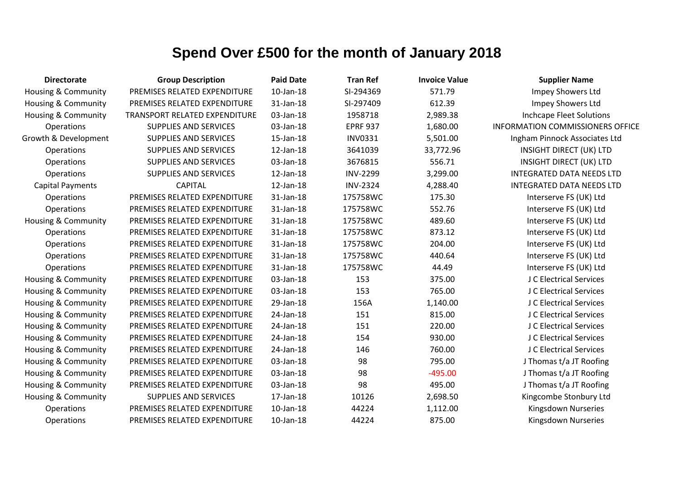| <b>Directorate</b>             | <b>Group Description</b>      | <b>Paid Date</b> | <b>Tran Ref</b> | <b>Invoice Value</b> | <b>Supplier Name</b>                    |
|--------------------------------|-------------------------------|------------------|-----------------|----------------------|-----------------------------------------|
| <b>Housing &amp; Community</b> | PREMISES RELATED EXPENDITURE  | $10$ -Jan- $18$  | SI-294369       | 571.79               | Impey Showers Ltd                       |
| <b>Housing &amp; Community</b> | PREMISES RELATED EXPENDITURE  | 31-Jan-18        | SI-297409       | 612.39               | Impey Showers Ltd                       |
| Housing & Community            | TRANSPORT RELATED EXPENDITURE | 03-Jan-18        | 1958718         | 2,989.38             | <b>Inchcape Fleet Solutions</b>         |
| Operations                     | <b>SUPPLIES AND SERVICES</b>  | 03-Jan-18        | <b>EPRF 937</b> | 1,680.00             | <b>INFORMATION COMMISSIONERS OFFICE</b> |
| Growth & Development           | <b>SUPPLIES AND SERVICES</b>  | 15-Jan-18        | <b>INV0331</b>  | 5,501.00             | Ingham Pinnock Associates Ltd           |
| Operations                     | <b>SUPPLIES AND SERVICES</b>  | 12-Jan-18        | 3641039         | 33,772.96            | <b>INSIGHT DIRECT (UK) LTD</b>          |
| Operations                     | <b>SUPPLIES AND SERVICES</b>  | 03-Jan-18        | 3676815         | 556.71               | <b>INSIGHT DIRECT (UK) LTD</b>          |
| Operations                     | <b>SUPPLIES AND SERVICES</b>  | 12-Jan-18        | <b>INV-2299</b> | 3,299.00             | <b>INTEGRATED DATA NEEDS LTD</b>        |
| <b>Capital Payments</b>        | <b>CAPITAL</b>                | 12-Jan-18        | <b>INV-2324</b> | 4,288.40             | <b>INTEGRATED DATA NEEDS LTD</b>        |
| Operations                     | PREMISES RELATED EXPENDITURE  | 31-Jan-18        | 175758WC        | 175.30               | Interserve FS (UK) Ltd                  |
| Operations                     | PREMISES RELATED EXPENDITURE  | 31-Jan-18        | 175758WC        | 552.76               | Interserve FS (UK) Ltd                  |
| <b>Housing &amp; Community</b> | PREMISES RELATED EXPENDITURE  | 31-Jan-18        | 175758WC        | 489.60               | Interserve FS (UK) Ltd                  |
| Operations                     | PREMISES RELATED EXPENDITURE  | 31-Jan-18        | 175758WC        | 873.12               | Interserve FS (UK) Ltd                  |
| Operations                     | PREMISES RELATED EXPENDITURE  | 31-Jan-18        | 175758WC        | 204.00               | Interserve FS (UK) Ltd                  |
| Operations                     | PREMISES RELATED EXPENDITURE  | 31-Jan-18        | 175758WC        | 440.64               | Interserve FS (UK) Ltd                  |
| Operations                     | PREMISES RELATED EXPENDITURE  | 31-Jan-18        | 175758WC        | 44.49                | Interserve FS (UK) Ltd                  |
| Housing & Community            | PREMISES RELATED EXPENDITURE  | 03-Jan-18        | 153             | 375.00               | J C Electrical Services                 |
| <b>Housing &amp; Community</b> | PREMISES RELATED EXPENDITURE  | 03-Jan-18        | 153             | 765.00               | J C Electrical Services                 |
| <b>Housing &amp; Community</b> | PREMISES RELATED EXPENDITURE  | 29-Jan-18        | 156A            | 1,140.00             | J C Electrical Services                 |
| <b>Housing &amp; Community</b> | PREMISES RELATED EXPENDITURE  | 24-Jan-18        | 151             | 815.00               | J C Electrical Services                 |
| <b>Housing &amp; Community</b> | PREMISES RELATED EXPENDITURE  | 24-Jan-18        | 151             | 220.00               | J C Electrical Services                 |
| <b>Housing &amp; Community</b> | PREMISES RELATED EXPENDITURE  | 24-Jan-18        | 154             | 930.00               | J C Electrical Services                 |
| Housing & Community            | PREMISES RELATED EXPENDITURE  | 24-Jan-18        | 146             | 760.00               | J C Electrical Services                 |
| <b>Housing &amp; Community</b> | PREMISES RELATED EXPENDITURE  | 03-Jan-18        | 98              | 795.00               | J Thomas t/a JT Roofing                 |
| <b>Housing &amp; Community</b> | PREMISES RELATED EXPENDITURE  | 03-Jan-18        | 98              | $-495.00$            | J Thomas t/a JT Roofing                 |
| <b>Housing &amp; Community</b> | PREMISES RELATED EXPENDITURE  | 03-Jan-18        | 98              | 495.00               | J Thomas t/a JT Roofing                 |
| <b>Housing &amp; Community</b> | <b>SUPPLIES AND SERVICES</b>  | 17-Jan-18        | 10126           | 2,698.50             | Kingcombe Stonbury Ltd                  |
| Operations                     | PREMISES RELATED EXPENDITURE  | $10$ -Jan- $18$  | 44224           | 1,112.00             | Kingsdown Nurseries                     |
| Operations                     | PREMISES RELATED EXPENDITURE  | 10-Jan-18        | 44224           | 875.00               | Kingsdown Nurseries                     |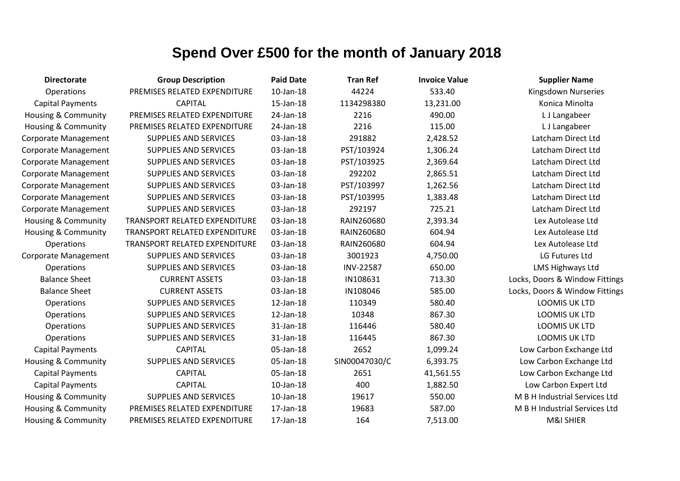| <b>Directorate</b>             | <b>Group Description</b>      | <b>Paid Date</b> | <b>Tran Ref</b>  | <b>Invoice Value</b> | <b>Supplier Name</b>           |
|--------------------------------|-------------------------------|------------------|------------------|----------------------|--------------------------------|
| Operations                     | PREMISES RELATED EXPENDITURE  | $10$ -Jan- $18$  | 44224            | 533.40               | Kingsdown Nurseries            |
| <b>Capital Payments</b>        | <b>CAPITAL</b>                | 15-Jan-18        | 1134298380       | 13,231.00            | Konica Minolta                 |
| Housing & Community            | PREMISES RELATED EXPENDITURE  | 24-Jan-18        | 2216             | 490.00               | L J Langabeer                  |
| <b>Housing &amp; Community</b> | PREMISES RELATED EXPENDITURE  | 24-Jan-18        | 2216             | 115.00               | L J Langabeer                  |
| <b>Corporate Management</b>    | <b>SUPPLIES AND SERVICES</b>  | 03-Jan-18        | 291882           | 2,428.52             | Latcham Direct Ltd             |
| <b>Corporate Management</b>    | <b>SUPPLIES AND SERVICES</b>  | 03-Jan-18        | PST/103924       | 1,306.24             | Latcham Direct Ltd             |
| <b>Corporate Management</b>    | <b>SUPPLIES AND SERVICES</b>  | 03-Jan-18        | PST/103925       | 2,369.64             | Latcham Direct Ltd             |
| <b>Corporate Management</b>    | <b>SUPPLIES AND SERVICES</b>  | 03-Jan-18        | 292202           | 2,865.51             | Latcham Direct Ltd             |
| <b>Corporate Management</b>    | <b>SUPPLIES AND SERVICES</b>  | 03-Jan-18        | PST/103997       | 1,262.56             | Latcham Direct Ltd             |
| <b>Corporate Management</b>    | <b>SUPPLIES AND SERVICES</b>  | 03-Jan-18        | PST/103995       | 1,383.48             | Latcham Direct Ltd             |
| <b>Corporate Management</b>    | <b>SUPPLIES AND SERVICES</b>  | 03-Jan-18        | 292197           | 725.21               | Latcham Direct Ltd             |
| <b>Housing &amp; Community</b> | TRANSPORT RELATED EXPENDITURE | 03-Jan-18        | RAIN260680       | 2,393.34             | Lex Autolease Ltd              |
| <b>Housing &amp; Community</b> | TRANSPORT RELATED EXPENDITURE | 03-Jan-18        | RAIN260680       | 604.94               | Lex Autolease Ltd              |
| Operations                     | TRANSPORT RELATED EXPENDITURE | 03-Jan-18        | RAIN260680       | 604.94               | Lex Autolease Ltd              |
| Corporate Management           | <b>SUPPLIES AND SERVICES</b>  | 03-Jan-18        | 3001923          | 4,750.00             | LG Futures Ltd                 |
| Operations                     | <b>SUPPLIES AND SERVICES</b>  | 03-Jan-18        | <b>INV-22587</b> | 650.00               | LMS Highways Ltd               |
| <b>Balance Sheet</b>           | <b>CURRENT ASSETS</b>         | 03-Jan-18        | IN108631         | 713.30               | Locks, Doors & Window Fittings |
| <b>Balance Sheet</b>           | <b>CURRENT ASSETS</b>         | 03-Jan-18        | IN108046         | 585.00               | Locks, Doors & Window Fittings |
| Operations                     | <b>SUPPLIES AND SERVICES</b>  | 12-Jan-18        | 110349           | 580.40               | <b>LOOMIS UK LTD</b>           |
| Operations                     | <b>SUPPLIES AND SERVICES</b>  | $12$ -Jan- $18$  | 10348            | 867.30               | <b>LOOMIS UK LTD</b>           |
| Operations                     | <b>SUPPLIES AND SERVICES</b>  | 31-Jan-18        | 116446           | 580.40               | LOOMIS UK LTD                  |
| Operations                     | <b>SUPPLIES AND SERVICES</b>  | 31-Jan-18        | 116445           | 867.30               | LOOMIS UK LTD                  |
| <b>Capital Payments</b>        | <b>CAPITAL</b>                | 05-Jan-18        | 2652             | 1,099.24             | Low Carbon Exchange Ltd        |
| Housing & Community            | <b>SUPPLIES AND SERVICES</b>  | 05-Jan-18        | SIN00047030/C    | 6,393.75             | Low Carbon Exchange Ltd        |
| <b>Capital Payments</b>        | <b>CAPITAL</b>                | 05-Jan-18        | 2651             | 41,561.55            | Low Carbon Exchange Ltd        |
| <b>Capital Payments</b>        | <b>CAPITAL</b>                | 10-Jan-18        | 400              | 1,882.50             | Low Carbon Expert Ltd          |
| Housing & Community            | <b>SUPPLIES AND SERVICES</b>  | 10-Jan-18        | 19617            | 550.00               | M B H Industrial Services Ltd  |
| Housing & Community            | PREMISES RELATED EXPENDITURE  | 17-Jan-18        | 19683            | 587.00               | M B H Industrial Services Ltd  |
| Housing & Community            | PREMISES RELATED EXPENDITURE  | 17-Jan-18        | 164              | 7,513.00             | <b>M&amp;I SHIER</b>           |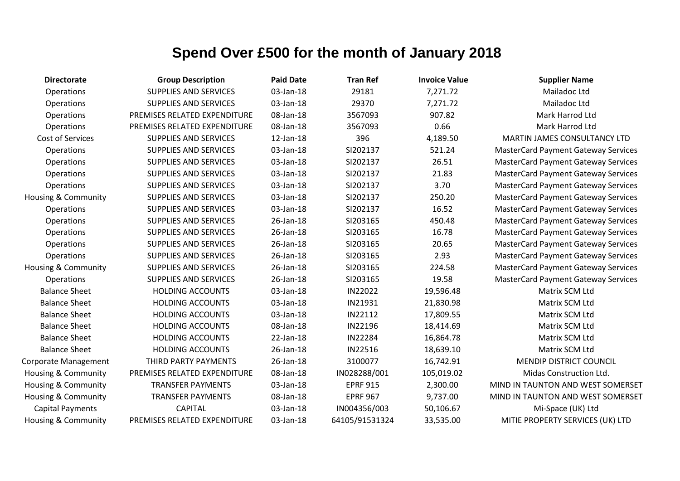| <b>Directorate</b>             | <b>Group Description</b>     | <b>Paid Date</b> | <b>Tran Ref</b> | <b>Invoice Value</b> | <b>Supplier Name</b>                       |
|--------------------------------|------------------------------|------------------|-----------------|----------------------|--------------------------------------------|
| Operations                     | <b>SUPPLIES AND SERVICES</b> | 03-Jan-18        | 29181           | 7,271.72             | Mailadoc Ltd                               |
| Operations                     | <b>SUPPLIES AND SERVICES</b> | 03-Jan-18        | 29370           | 7,271.72             | Mailadoc Ltd                               |
| Operations                     | PREMISES RELATED EXPENDITURE | 08-Jan-18        | 3567093         | 907.82               | Mark Harrod Ltd                            |
| Operations                     | PREMISES RELATED EXPENDITURE | 08-Jan-18        | 3567093         | 0.66                 | Mark Harrod Ltd                            |
| Cost of Services               | <b>SUPPLIES AND SERVICES</b> | 12-Jan-18        | 396             | 4,189.50             | MARTIN JAMES CONSULTANCY LTD               |
| Operations                     | <b>SUPPLIES AND SERVICES</b> | 03-Jan-18        | SI202137        | 521.24               | <b>MasterCard Payment Gateway Services</b> |
| Operations                     | <b>SUPPLIES AND SERVICES</b> | 03-Jan-18        | SI202137        | 26.51                | <b>MasterCard Payment Gateway Services</b> |
| Operations                     | <b>SUPPLIES AND SERVICES</b> | 03-Jan-18        | SI202137        | 21.83                | <b>MasterCard Payment Gateway Services</b> |
| Operations                     | <b>SUPPLIES AND SERVICES</b> | 03-Jan-18        | SI202137        | 3.70                 | <b>MasterCard Payment Gateway Services</b> |
| <b>Housing &amp; Community</b> | <b>SUPPLIES AND SERVICES</b> | 03-Jan-18        | SI202137        | 250.20               | <b>MasterCard Payment Gateway Services</b> |
| Operations                     | <b>SUPPLIES AND SERVICES</b> | 03-Jan-18        | SI202137        | 16.52                | <b>MasterCard Payment Gateway Services</b> |
| Operations                     | <b>SUPPLIES AND SERVICES</b> | 26-Jan-18        | SI203165        | 450.48               | <b>MasterCard Payment Gateway Services</b> |
| Operations                     | <b>SUPPLIES AND SERVICES</b> | 26-Jan-18        | SI203165        | 16.78                | <b>MasterCard Payment Gateway Services</b> |
| Operations                     | <b>SUPPLIES AND SERVICES</b> | 26-Jan-18        | SI203165        | 20.65                | <b>MasterCard Payment Gateway Services</b> |
| Operations                     | <b>SUPPLIES AND SERVICES</b> | 26-Jan-18        | SI203165        | 2.93                 | <b>MasterCard Payment Gateway Services</b> |
| <b>Housing &amp; Community</b> | <b>SUPPLIES AND SERVICES</b> | 26-Jan-18        | SI203165        | 224.58               | <b>MasterCard Payment Gateway Services</b> |
| Operations                     | <b>SUPPLIES AND SERVICES</b> | 26-Jan-18        | SI203165        | 19.58                | <b>MasterCard Payment Gateway Services</b> |
| <b>Balance Sheet</b>           | <b>HOLDING ACCOUNTS</b>      | 03-Jan-18        | IN22022         | 19,596.48            | Matrix SCM Ltd                             |
| <b>Balance Sheet</b>           | <b>HOLDING ACCOUNTS</b>      | 03-Jan-18        | IN21931         | 21,830.98            | Matrix SCM Ltd                             |
| <b>Balance Sheet</b>           | <b>HOLDING ACCOUNTS</b>      | 03-Jan-18        | IN22112         | 17,809.55            | Matrix SCM Ltd                             |
| <b>Balance Sheet</b>           | <b>HOLDING ACCOUNTS</b>      | 08-Jan-18        | IN22196         | 18,414.69            | Matrix SCM Ltd                             |
| <b>Balance Sheet</b>           | <b>HOLDING ACCOUNTS</b>      | 22-Jan-18        | IN22284         | 16,864.78            | Matrix SCM Ltd                             |
| <b>Balance Sheet</b>           | <b>HOLDING ACCOUNTS</b>      | 26-Jan-18        | IN22516         | 18,639.10            | Matrix SCM Ltd                             |
| Corporate Management           | THIRD PARTY PAYMENTS         | 26-Jan-18        | 3100077         | 16,742.91            | MENDIP DISTRICT COUNCIL                    |
| <b>Housing &amp; Community</b> | PREMISES RELATED EXPENDITURE | 08-Jan-18        | IN028288/001    | 105,019.02           | Midas Construction Ltd.                    |
| <b>Housing &amp; Community</b> | <b>TRANSFER PAYMENTS</b>     | 03-Jan-18        | <b>EPRF 915</b> | 2,300.00             | MIND IN TAUNTON AND WEST SOMERSET          |
| <b>Housing &amp; Community</b> | <b>TRANSFER PAYMENTS</b>     | 08-Jan-18        | <b>EPRF 967</b> | 9,737.00             | MIND IN TAUNTON AND WEST SOMERSET          |
| <b>Capital Payments</b>        | <b>CAPITAL</b>               | 03-Jan-18        | IN004356/003    | 50,106.67            | Mi-Space (UK) Ltd                          |
| <b>Housing &amp; Community</b> | PREMISES RELATED EXPENDITURE | 03-Jan-18        | 64105/91531324  | 33,535.00            | MITIE PROPERTY SERVICES (UK) LTD           |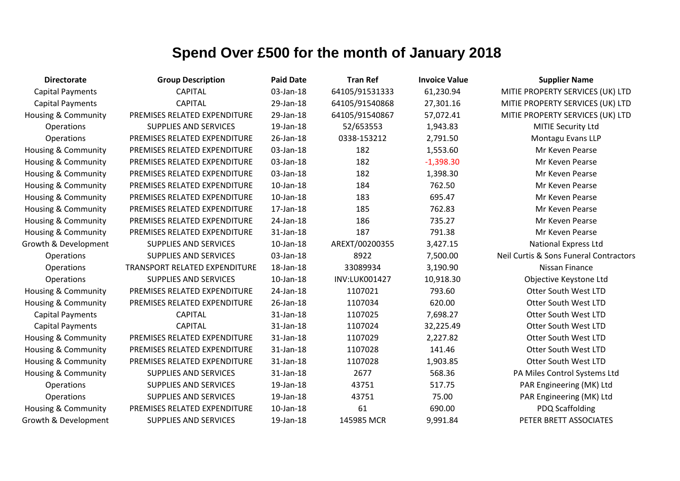| <b>Directorate</b>             | <b>Group Description</b>             | <b>Paid Date</b> | <b>Tran Ref</b> | <b>Invoice Value</b> | <b>Supplier Name</b>                   |
|--------------------------------|--------------------------------------|------------------|-----------------|----------------------|----------------------------------------|
| <b>Capital Payments</b>        | <b>CAPITAL</b>                       | 03-Jan-18        | 64105/91531333  | 61,230.94            | MITIE PROPERTY SERVICES (UK) LTD       |
| <b>Capital Payments</b>        | <b>CAPITAL</b>                       | 29-Jan-18        | 64105/91540868  | 27,301.16            | MITIE PROPERTY SERVICES (UK) LTD       |
| Housing & Community            | PREMISES RELATED EXPENDITURE         | 29-Jan-18        | 64105/91540867  | 57,072.41            | MITIE PROPERTY SERVICES (UK) LTD       |
| <b>Operations</b>              | <b>SUPPLIES AND SERVICES</b>         | 19-Jan-18        | 52/653553       | 1,943.83             | MITIE Security Ltd                     |
| Operations                     | PREMISES RELATED EXPENDITURE         | 26-Jan-18        | 0338-153212     | 2,791.50             | Montagu Evans LLP                      |
| Housing & Community            | PREMISES RELATED EXPENDITURE         | 03-Jan-18        | 182             | 1,553.60             | Mr Keven Pearse                        |
| Housing & Community            | PREMISES RELATED EXPENDITURE         | 03-Jan-18        | 182             | $-1,398.30$          | Mr Keven Pearse                        |
| Housing & Community            | PREMISES RELATED EXPENDITURE         | 03-Jan-18        | 182             | 1,398.30             | Mr Keven Pearse                        |
| <b>Housing &amp; Community</b> | PREMISES RELATED EXPENDITURE         | 10-Jan-18        | 184             | 762.50               | Mr Keven Pearse                        |
| Housing & Community            | PREMISES RELATED EXPENDITURE         | 10-Jan-18        | 183             | 695.47               | Mr Keven Pearse                        |
| Housing & Community            | PREMISES RELATED EXPENDITURE         | 17-Jan-18        | 185             | 762.83               | Mr Keven Pearse                        |
| Housing & Community            | PREMISES RELATED EXPENDITURE         | 24-Jan-18        | 186             | 735.27               | Mr Keven Pearse                        |
| <b>Housing &amp; Community</b> | PREMISES RELATED EXPENDITURE         | 31-Jan-18        | 187             | 791.38               | Mr Keven Pearse                        |
| Growth & Development           | <b>SUPPLIES AND SERVICES</b>         | $10$ -Jan- $18$  | AREXT/00200355  | 3,427.15             | <b>National Express Ltd</b>            |
| Operations                     | <b>SUPPLIES AND SERVICES</b>         | 03-Jan-18        | 8922            | 7,500.00             | Neil Curtis & Sons Funeral Contractors |
| Operations                     | <b>TRANSPORT RELATED EXPENDITURE</b> | 18-Jan-18        | 33089934        | 3,190.90             | Nissan Finance                         |
| <b>Operations</b>              | <b>SUPPLIES AND SERVICES</b>         | 10-Jan-18        | INV:LUK001427   | 10,918.30            | Objective Keystone Ltd                 |
| Housing & Community            | PREMISES RELATED EXPENDITURE         | 24-Jan-18        | 1107021         | 793.60               | Otter South West LTD                   |
| <b>Housing &amp; Community</b> | PREMISES RELATED EXPENDITURE         | 26-Jan-18        | 1107034         | 620.00               | <b>Otter South West LTD</b>            |
| <b>Capital Payments</b>        | <b>CAPITAL</b>                       | 31-Jan-18        | 1107025         | 7,698.27             | <b>Otter South West LTD</b>            |
| <b>Capital Payments</b>        | <b>CAPITAL</b>                       | 31-Jan-18        | 1107024         | 32,225.49            | Otter South West LTD                   |
| Housing & Community            | PREMISES RELATED EXPENDITURE         | 31-Jan-18        | 1107029         | 2,227.82             | Otter South West LTD                   |
| Housing & Community            | PREMISES RELATED EXPENDITURE         | 31-Jan-18        | 1107028         | 141.46               | <b>Otter South West LTD</b>            |
| Housing & Community            | PREMISES RELATED EXPENDITURE         | 31-Jan-18        | 1107028         | 1,903.85             | <b>Otter South West LTD</b>            |
| <b>Housing &amp; Community</b> | <b>SUPPLIES AND SERVICES</b>         | 31-Jan-18        | 2677            | 568.36               | PA Miles Control Systems Ltd           |
| <b>Operations</b>              | <b>SUPPLIES AND SERVICES</b>         | 19-Jan-18        | 43751           | 517.75               | PAR Engineering (MK) Ltd               |
| <b>Operations</b>              | <b>SUPPLIES AND SERVICES</b>         | 19-Jan-18        | 43751           | 75.00                | PAR Engineering (MK) Ltd               |
| <b>Housing &amp; Community</b> | PREMISES RELATED EXPENDITURE         | 10-Jan-18        | 61              | 690.00               | <b>PDQ Scaffolding</b>                 |
| Growth & Development           | <b>SUPPLIES AND SERVICES</b>         | 19-Jan-18        | 145985 MCR      | 9,991.84             | PETER BRETT ASSOCIATES                 |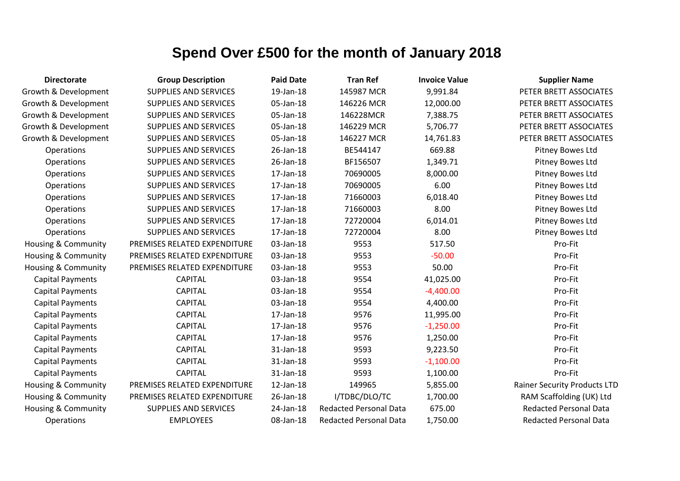| <b>Directorate</b>             | <b>Group Description</b>     | <b>Paid Date</b> | <b>Tran Ref</b>               | <b>Invoice Value</b> | <b>Supplier Name</b>                |
|--------------------------------|------------------------------|------------------|-------------------------------|----------------------|-------------------------------------|
| Growth & Development           | <b>SUPPLIES AND SERVICES</b> | 19-Jan-18        | 145987 MCR                    | 9,991.84             | PETER BRETT ASSOCIATES              |
| Growth & Development           | <b>SUPPLIES AND SERVICES</b> | 05-Jan-18        | 146226 MCR                    | 12,000.00            | PETER BRETT ASSOCIATES              |
| Growth & Development           | SUPPLIES AND SERVICES        | 05-Jan-18        | 146228MCR                     | 7,388.75             | PETER BRETT ASSOCIATES              |
| Growth & Development           | <b>SUPPLIES AND SERVICES</b> | 05-Jan-18        | 146229 MCR                    | 5,706.77             | PETER BRETT ASSOCIATES              |
| Growth & Development           | SUPPLIES AND SERVICES        | 05-Jan-18        | 146227 MCR                    | 14,761.83            | PETER BRETT ASSOCIATES              |
| Operations                     | <b>SUPPLIES AND SERVICES</b> | 26-Jan-18        | BE544147                      | 669.88               | Pitney Bowes Ltd                    |
| Operations                     | <b>SUPPLIES AND SERVICES</b> | 26-Jan-18        | BF156507                      | 1,349.71             | Pitney Bowes Ltd                    |
| Operations                     | <b>SUPPLIES AND SERVICES</b> | 17-Jan-18        | 70690005                      | 8,000.00             | Pitney Bowes Ltd                    |
| Operations                     | <b>SUPPLIES AND SERVICES</b> | 17-Jan-18        | 70690005                      | 6.00                 | Pitney Bowes Ltd                    |
| Operations                     | <b>SUPPLIES AND SERVICES</b> | 17-Jan-18        | 71660003                      | 6,018.40             | Pitney Bowes Ltd                    |
| Operations                     | SUPPLIES AND SERVICES        | 17-Jan-18        | 71660003                      | 8.00                 | Pitney Bowes Ltd                    |
| Operations                     | <b>SUPPLIES AND SERVICES</b> | 17-Jan-18        | 72720004                      | 6,014.01             | Pitney Bowes Ltd                    |
| Operations                     | SUPPLIES AND SERVICES        | 17-Jan-18        | 72720004                      | 8.00                 | Pitney Bowes Ltd                    |
| <b>Housing &amp; Community</b> | PREMISES RELATED EXPENDITURE | 03-Jan-18        | 9553                          | 517.50               | Pro-Fit                             |
| Housing & Community            | PREMISES RELATED EXPENDITURE | 03-Jan-18        | 9553                          | $-50.00$             | Pro-Fit                             |
| Housing & Community            | PREMISES RELATED EXPENDITURE | 03-Jan-18        | 9553                          | 50.00                | Pro-Fit                             |
| <b>Capital Payments</b>        | <b>CAPITAL</b>               | 03-Jan-18        | 9554                          | 41,025.00            | Pro-Fit                             |
| <b>Capital Payments</b>        | <b>CAPITAL</b>               | 03-Jan-18        | 9554                          | $-4,400.00$          | Pro-Fit                             |
| <b>Capital Payments</b>        | <b>CAPITAL</b>               | 03-Jan-18        | 9554                          | 4,400.00             | Pro-Fit                             |
| <b>Capital Payments</b>        | <b>CAPITAL</b>               | 17-Jan-18        | 9576                          | 11,995.00            | Pro-Fit                             |
| <b>Capital Payments</b>        | <b>CAPITAL</b>               | 17-Jan-18        | 9576                          | $-1,250.00$          | Pro-Fit                             |
| <b>Capital Payments</b>        | <b>CAPITAL</b>               | 17-Jan-18        | 9576                          | 1,250.00             | Pro-Fit                             |
| <b>Capital Payments</b>        | <b>CAPITAL</b>               | 31-Jan-18        | 9593                          | 9,223.50             | Pro-Fit                             |
| <b>Capital Payments</b>        | <b>CAPITAL</b>               | 31-Jan-18        | 9593                          | $-1,100.00$          | Pro-Fit                             |
| <b>Capital Payments</b>        | <b>CAPITAL</b>               | 31-Jan-18        | 9593                          | 1,100.00             | Pro-Fit                             |
| <b>Housing &amp; Community</b> | PREMISES RELATED EXPENDITURE | 12-Jan-18        | 149965                        | 5,855.00             | <b>Rainer Security Products LTD</b> |
| Housing & Community            | PREMISES RELATED EXPENDITURE | 26-Jan-18        | I/TDBC/DLO/TC                 | 1,700.00             | RAM Scaffolding (UK) Ltd            |
| <b>Housing &amp; Community</b> | <b>SUPPLIES AND SERVICES</b> | 24-Jan-18        | <b>Redacted Personal Data</b> | 675.00               | <b>Redacted Personal Data</b>       |
| <b>Operations</b>              | <b>EMPLOYEES</b>             | 08-Jan-18        | <b>Redacted Personal Data</b> | 1,750.00             | <b>Redacted Personal Data</b>       |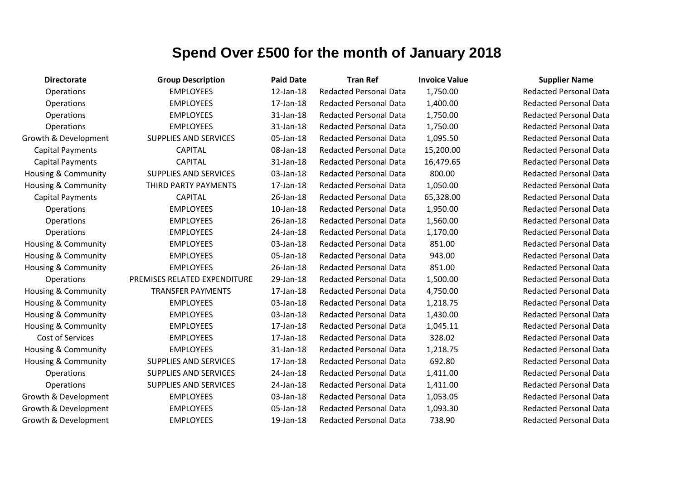| <b>Directorate</b>             | <b>Group Description</b>     | <b>Paid Date</b> | <b>Tran Ref</b>               | <b>Invoice Value</b> | <b>Supplier Name</b>          |
|--------------------------------|------------------------------|------------------|-------------------------------|----------------------|-------------------------------|
| Operations                     | <b>EMPLOYEES</b>             | 12-Jan-18        | <b>Redacted Personal Data</b> | 1,750.00             | <b>Redacted Personal Data</b> |
| <b>Operations</b>              | <b>EMPLOYEES</b>             | 17-Jan-18        | <b>Redacted Personal Data</b> | 1,400.00             | <b>Redacted Personal Data</b> |
| Operations                     | <b>EMPLOYEES</b>             | 31-Jan-18        | <b>Redacted Personal Data</b> | 1,750.00             | <b>Redacted Personal Data</b> |
| <b>Operations</b>              | <b>EMPLOYEES</b>             | 31-Jan-18        | <b>Redacted Personal Data</b> | 1,750.00             | <b>Redacted Personal Data</b> |
| Growth & Development           | <b>SUPPLIES AND SERVICES</b> | 05-Jan-18        | <b>Redacted Personal Data</b> | 1,095.50             | <b>Redacted Personal Data</b> |
| <b>Capital Payments</b>        | <b>CAPITAL</b>               | 08-Jan-18        | <b>Redacted Personal Data</b> | 15,200.00            | <b>Redacted Personal Data</b> |
| <b>Capital Payments</b>        | <b>CAPITAL</b>               | 31-Jan-18        | <b>Redacted Personal Data</b> | 16,479.65            | <b>Redacted Personal Data</b> |
| <b>Housing &amp; Community</b> | <b>SUPPLIES AND SERVICES</b> | 03-Jan-18        | <b>Redacted Personal Data</b> | 800.00               | <b>Redacted Personal Data</b> |
| <b>Housing &amp; Community</b> | THIRD PARTY PAYMENTS         | 17-Jan-18        | <b>Redacted Personal Data</b> | 1,050.00             | <b>Redacted Personal Data</b> |
| <b>Capital Payments</b>        | <b>CAPITAL</b>               | 26-Jan-18        | <b>Redacted Personal Data</b> | 65,328.00            | <b>Redacted Personal Data</b> |
| Operations                     | <b>EMPLOYEES</b>             | $10$ -Jan- $18$  | <b>Redacted Personal Data</b> | 1,950.00             | <b>Redacted Personal Data</b> |
| <b>Operations</b>              | <b>EMPLOYEES</b>             | 26-Jan-18        | <b>Redacted Personal Data</b> | 1,560.00             | <b>Redacted Personal Data</b> |
| Operations                     | <b>EMPLOYEES</b>             | 24-Jan-18        | <b>Redacted Personal Data</b> | 1,170.00             | <b>Redacted Personal Data</b> |
| Housing & Community            | <b>EMPLOYEES</b>             | 03-Jan-18        | <b>Redacted Personal Data</b> | 851.00               | <b>Redacted Personal Data</b> |
| Housing & Community            | <b>EMPLOYEES</b>             | 05-Jan-18        | <b>Redacted Personal Data</b> | 943.00               | <b>Redacted Personal Data</b> |
| <b>Housing &amp; Community</b> | <b>EMPLOYEES</b>             | 26-Jan-18        | <b>Redacted Personal Data</b> | 851.00               | <b>Redacted Personal Data</b> |
| Operations                     | PREMISES RELATED EXPENDITURE | 29-Jan-18        | <b>Redacted Personal Data</b> | 1,500.00             | <b>Redacted Personal Data</b> |
| Housing & Community            | <b>TRANSFER PAYMENTS</b>     | 17-Jan-18        | <b>Redacted Personal Data</b> | 4,750.00             | <b>Redacted Personal Data</b> |
| Housing & Community            | <b>EMPLOYEES</b>             | 03-Jan-18        | <b>Redacted Personal Data</b> | 1,218.75             | <b>Redacted Personal Data</b> |
| Housing & Community            | <b>EMPLOYEES</b>             | 03-Jan-18        | <b>Redacted Personal Data</b> | 1,430.00             | <b>Redacted Personal Data</b> |
| <b>Housing &amp; Community</b> | <b>EMPLOYEES</b>             | 17-Jan-18        | <b>Redacted Personal Data</b> | 1,045.11             | <b>Redacted Personal Data</b> |
| Cost of Services               | <b>EMPLOYEES</b>             | 17-Jan-18        | <b>Redacted Personal Data</b> | 328.02               | <b>Redacted Personal Data</b> |
| Housing & Community            | <b>EMPLOYEES</b>             | 31-Jan-18        | <b>Redacted Personal Data</b> | 1,218.75             | <b>Redacted Personal Data</b> |
| <b>Housing &amp; Community</b> | <b>SUPPLIES AND SERVICES</b> | 17-Jan-18        | <b>Redacted Personal Data</b> | 692.80               | <b>Redacted Personal Data</b> |
| <b>Operations</b>              | <b>SUPPLIES AND SERVICES</b> | 24-Jan-18        | <b>Redacted Personal Data</b> | 1,411.00             | <b>Redacted Personal Data</b> |
| <b>Operations</b>              | <b>SUPPLIES AND SERVICES</b> | 24-Jan-18        | <b>Redacted Personal Data</b> | 1,411.00             | <b>Redacted Personal Data</b> |
| Growth & Development           | <b>EMPLOYEES</b>             | 03-Jan-18        | <b>Redacted Personal Data</b> | 1,053.05             | <b>Redacted Personal Data</b> |
| Growth & Development           | <b>EMPLOYEES</b>             | 05-Jan-18        | <b>Redacted Personal Data</b> | 1,093.30             | <b>Redacted Personal Data</b> |
| Growth & Development           | <b>EMPLOYEES</b>             | 19-Jan-18        | <b>Redacted Personal Data</b> | 738.90               | <b>Redacted Personal Data</b> |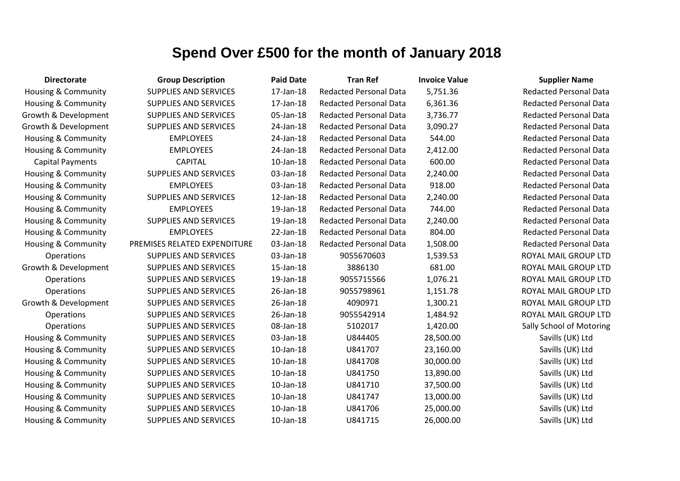| <b>Directorate</b>             | <b>Group Description</b>     | <b>Paid Date</b> | <b>Tran Ref</b>               | <b>Invoice Value</b> | <b>Supplier Name</b>          |
|--------------------------------|------------------------------|------------------|-------------------------------|----------------------|-------------------------------|
| Housing & Community            | <b>SUPPLIES AND SERVICES</b> | 17-Jan-18        | <b>Redacted Personal Data</b> | 5,751.36             | <b>Redacted Personal Data</b> |
| Housing & Community            | <b>SUPPLIES AND SERVICES</b> | 17-Jan-18        | <b>Redacted Personal Data</b> | 6,361.36             | <b>Redacted Personal Data</b> |
| Growth & Development           | <b>SUPPLIES AND SERVICES</b> | 05-Jan-18        | <b>Redacted Personal Data</b> | 3,736.77             | <b>Redacted Personal Data</b> |
| Growth & Development           | <b>SUPPLIES AND SERVICES</b> | 24-Jan-18        | <b>Redacted Personal Data</b> | 3,090.27             | <b>Redacted Personal Data</b> |
| <b>Housing &amp; Community</b> | <b>EMPLOYEES</b>             | 24-Jan-18        | <b>Redacted Personal Data</b> | 544.00               | <b>Redacted Personal Data</b> |
| Housing & Community            | <b>EMPLOYEES</b>             | 24-Jan-18        | <b>Redacted Personal Data</b> | 2,412.00             | <b>Redacted Personal Data</b> |
| <b>Capital Payments</b>        | <b>CAPITAL</b>               | $10$ -Jan- $18$  | <b>Redacted Personal Data</b> | 600.00               | <b>Redacted Personal Data</b> |
| <b>Housing &amp; Community</b> | <b>SUPPLIES AND SERVICES</b> | 03-Jan-18        | <b>Redacted Personal Data</b> | 2,240.00             | <b>Redacted Personal Data</b> |
| Housing & Community            | <b>EMPLOYEES</b>             | 03-Jan-18        | <b>Redacted Personal Data</b> | 918.00               | <b>Redacted Personal Data</b> |
| Housing & Community            | <b>SUPPLIES AND SERVICES</b> | 12-Jan-18        | <b>Redacted Personal Data</b> | 2,240.00             | <b>Redacted Personal Data</b> |
| Housing & Community            | <b>EMPLOYEES</b>             | 19-Jan-18        | <b>Redacted Personal Data</b> | 744.00               | <b>Redacted Personal Data</b> |
| <b>Housing &amp; Community</b> | <b>SUPPLIES AND SERVICES</b> | 19-Jan-18        | <b>Redacted Personal Data</b> | 2,240.00             | <b>Redacted Personal Data</b> |
| <b>Housing &amp; Community</b> | <b>EMPLOYEES</b>             | 22-Jan-18        | <b>Redacted Personal Data</b> | 804.00               | <b>Redacted Personal Data</b> |
| Housing & Community            | PREMISES RELATED EXPENDITURE | 03-Jan-18        | <b>Redacted Personal Data</b> | 1,508.00             | <b>Redacted Personal Data</b> |
| Operations                     | <b>SUPPLIES AND SERVICES</b> | 03-Jan-18        | 9055670603                    | 1,539.53             | ROYAL MAIL GROUP LTD          |
| Growth & Development           | <b>SUPPLIES AND SERVICES</b> | 15-Jan-18        | 3886130                       | 681.00               | ROYAL MAIL GROUP LTD          |
| Operations                     | <b>SUPPLIES AND SERVICES</b> | 19-Jan-18        | 9055715566                    | 1,076.21             | ROYAL MAIL GROUP LTD          |
| Operations                     | <b>SUPPLIES AND SERVICES</b> | 26-Jan-18        | 9055798961                    | 1,151.78             | ROYAL MAIL GROUP LTD          |
| Growth & Development           | <b>SUPPLIES AND SERVICES</b> | 26-Jan-18        | 4090971                       | 1,300.21             | ROYAL MAIL GROUP LTD          |
| Operations                     | <b>SUPPLIES AND SERVICES</b> | 26-Jan-18        | 9055542914                    | 1,484.92             | ROYAL MAIL GROUP LTD          |
| Operations                     | SUPPLIES AND SERVICES        | 08-Jan-18        | 5102017                       | 1,420.00             | Sally School of Motoring      |
| Housing & Community            | <b>SUPPLIES AND SERVICES</b> | 03-Jan-18        | U844405                       | 28,500.00            | Savills (UK) Ltd              |
| Housing & Community            | <b>SUPPLIES AND SERVICES</b> | 10-Jan-18        | U841707                       | 23,160.00            | Savills (UK) Ltd              |
| Housing & Community            | <b>SUPPLIES AND SERVICES</b> | 10-Jan-18        | U841708                       | 30,000.00            | Savills (UK) Ltd              |
| <b>Housing &amp; Community</b> | SUPPLIES AND SERVICES        | $10$ -Jan- $18$  | U841750                       | 13,890.00            | Savills (UK) Ltd              |
| <b>Housing &amp; Community</b> | <b>SUPPLIES AND SERVICES</b> | $10$ -Jan- $18$  | U841710                       | 37,500.00            | Savills (UK) Ltd              |
| Housing & Community            | <b>SUPPLIES AND SERVICES</b> | $10$ -Jan- $18$  | U841747                       | 13,000.00            | Savills (UK) Ltd              |
| Housing & Community            | <b>SUPPLIES AND SERVICES</b> | 10-Jan-18        | U841706                       | 25,000.00            | Savills (UK) Ltd              |
| Housing & Community            | <b>SUPPLIES AND SERVICES</b> | 10-Jan-18        | U841715                       | 26,000.00            | Savills (UK) Ltd              |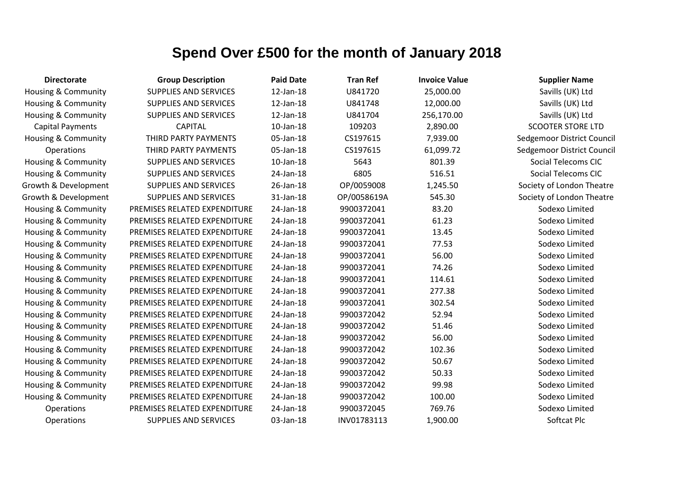| <b>Directorate</b>             | <b>Group Description</b>     | <b>Paid Date</b> | <b>Tran Ref</b> | <b>Invoice Value</b> | <b>Supplier Name</b>       |
|--------------------------------|------------------------------|------------------|-----------------|----------------------|----------------------------|
| Housing & Community            | <b>SUPPLIES AND SERVICES</b> | 12-Jan-18        | U841720         | 25,000.00            | Savills (UK) Ltd           |
| Housing & Community            | <b>SUPPLIES AND SERVICES</b> | 12-Jan-18        | U841748         | 12,000.00            | Savills (UK) Ltd           |
| Housing & Community            | <b>SUPPLIES AND SERVICES</b> | 12-Jan-18        | U841704         | 256,170.00           | Savills (UK) Ltd           |
| <b>Capital Payments</b>        | <b>CAPITAL</b>               | $10$ -Jan- $18$  | 109203          | 2,890.00             | <b>SCOOTER STORE LTD</b>   |
| Housing & Community            | THIRD PARTY PAYMENTS         | 05-Jan-18        | CS197615        | 7,939.00             | Sedgemoor District Council |
| Operations                     | THIRD PARTY PAYMENTS         | 05-Jan-18        | CS197615        | 61,099.72            | Sedgemoor District Council |
| Housing & Community            | <b>SUPPLIES AND SERVICES</b> | $10$ -Jan- $18$  | 5643            | 801.39               | <b>Social Telecoms CIC</b> |
| <b>Housing &amp; Community</b> | <b>SUPPLIES AND SERVICES</b> | 24-Jan-18        | 6805            | 516.51               | <b>Social Telecoms CIC</b> |
| Growth & Development           | <b>SUPPLIES AND SERVICES</b> | 26-Jan-18        | OP/0059008      | 1,245.50             | Society of London Theatre  |
| Growth & Development           | <b>SUPPLIES AND SERVICES</b> | 31-Jan-18        | OP/0058619A     | 545.30               | Society of London Theatre  |
| Housing & Community            | PREMISES RELATED EXPENDITURE | 24-Jan-18        | 9900372041      | 83.20                | Sodexo Limited             |
| Housing & Community            | PREMISES RELATED EXPENDITURE | 24-Jan-18        | 9900372041      | 61.23                | Sodexo Limited             |
| Housing & Community            | PREMISES RELATED EXPENDITURE | 24-Jan-18        | 9900372041      | 13.45                | Sodexo Limited             |
| Housing & Community            | PREMISES RELATED EXPENDITURE | 24-Jan-18        | 9900372041      | 77.53                | Sodexo Limited             |
| Housing & Community            | PREMISES RELATED EXPENDITURE | 24-Jan-18        | 9900372041      | 56.00                | Sodexo Limited             |
| Housing & Community            | PREMISES RELATED EXPENDITURE | 24-Jan-18        | 9900372041      | 74.26                | Sodexo Limited             |
| Housing & Community            | PREMISES RELATED EXPENDITURE | 24-Jan-18        | 9900372041      | 114.61               | Sodexo Limited             |
| Housing & Community            | PREMISES RELATED EXPENDITURE | 24-Jan-18        | 9900372041      | 277.38               | Sodexo Limited             |
| Housing & Community            | PREMISES RELATED EXPENDITURE | 24-Jan-18        | 9900372041      | 302.54               | Sodexo Limited             |
| Housing & Community            | PREMISES RELATED EXPENDITURE | 24-Jan-18        | 9900372042      | 52.94                | Sodexo Limited             |
| Housing & Community            | PREMISES RELATED EXPENDITURE | 24-Jan-18        | 9900372042      | 51.46                | Sodexo Limited             |
| Housing & Community            | PREMISES RELATED EXPENDITURE | 24-Jan-18        | 9900372042      | 56.00                | Sodexo Limited             |
| Housing & Community            | PREMISES RELATED EXPENDITURE | 24-Jan-18        | 9900372042      | 102.36               | Sodexo Limited             |
| Housing & Community            | PREMISES RELATED EXPENDITURE | 24-Jan-18        | 9900372042      | 50.67                | Sodexo Limited             |
| Housing & Community            | PREMISES RELATED EXPENDITURE | 24-Jan-18        | 9900372042      | 50.33                | Sodexo Limited             |
| <b>Housing &amp; Community</b> | PREMISES RELATED EXPENDITURE | 24-Jan-18        | 9900372042      | 99.98                | Sodexo Limited             |
| Housing & Community            | PREMISES RELATED EXPENDITURE | 24-Jan-18        | 9900372042      | 100.00               | Sodexo Limited             |
| Operations                     | PREMISES RELATED EXPENDITURE | 24-Jan-18        | 9900372045      | 769.76               | Sodexo Limited             |
| Operations                     | <b>SUPPLIES AND SERVICES</b> | 03-Jan-18        | INV01783113     | 1,900.00             | Softcat Plc                |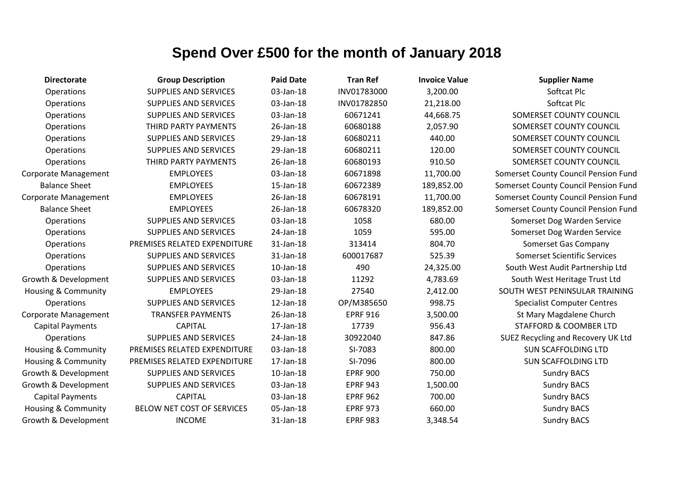| <b>Directorate</b>             | <b>Group Description</b>     | <b>Paid Date</b> | <b>Tran Ref</b> | <b>Invoice Value</b> | <b>Supplier Name</b>                 |
|--------------------------------|------------------------------|------------------|-----------------|----------------------|--------------------------------------|
| Operations                     | <b>SUPPLIES AND SERVICES</b> | 03-Jan-18        | INV01783000     | 3,200.00             | Softcat Plc                          |
| Operations                     | <b>SUPPLIES AND SERVICES</b> | 03-Jan-18        | INV01782850     | 21,218.00            | Softcat Plc                          |
| Operations                     | <b>SUPPLIES AND SERVICES</b> | 03-Jan-18        | 60671241        | 44,668.75            | SOMERSET COUNTY COUNCIL              |
| Operations                     | THIRD PARTY PAYMENTS         | 26-Jan-18        | 60680188        | 2,057.90             | SOMERSET COUNTY COUNCIL              |
| Operations                     | <b>SUPPLIES AND SERVICES</b> | 29-Jan-18        | 60680211        | 440.00               | SOMERSET COUNTY COUNCIL              |
| Operations                     | <b>SUPPLIES AND SERVICES</b> | 29-Jan-18        | 60680211        | 120.00               | SOMERSET COUNTY COUNCIL              |
| Operations                     | THIRD PARTY PAYMENTS         | 26-Jan-18        | 60680193        | 910.50               | SOMERSET COUNTY COUNCIL              |
| Corporate Management           | <b>EMPLOYEES</b>             | 03-Jan-18        | 60671898        | 11,700.00            | Somerset County Council Pension Fund |
| <b>Balance Sheet</b>           | <b>EMPLOYEES</b>             | 15-Jan-18        | 60672389        | 189,852.00           | Somerset County Council Pension Fund |
| Corporate Management           | <b>EMPLOYEES</b>             | 26-Jan-18        | 60678191        | 11,700.00            | Somerset County Council Pension Fund |
| <b>Balance Sheet</b>           | <b>EMPLOYEES</b>             | 26-Jan-18        | 60678320        | 189,852.00           | Somerset County Council Pension Fund |
| Operations                     | <b>SUPPLIES AND SERVICES</b> | 03-Jan-18        | 1058            | 680.00               | Somerset Dog Warden Service          |
| Operations                     | <b>SUPPLIES AND SERVICES</b> | 24-Jan-18        | 1059            | 595.00               | Somerset Dog Warden Service          |
| Operations                     | PREMISES RELATED EXPENDITURE | 31-Jan-18        | 313414          | 804.70               | Somerset Gas Company                 |
| Operations                     | <b>SUPPLIES AND SERVICES</b> | 31-Jan-18        | 600017687       | 525.39               | <b>Somerset Scientific Services</b>  |
| Operations                     | <b>SUPPLIES AND SERVICES</b> | 10-Jan-18        | 490             | 24,325.00            | South West Audit Partnership Ltd     |
| Growth & Development           | <b>SUPPLIES AND SERVICES</b> | 03-Jan-18        | 11292           | 4,783.69             | South West Heritage Trust Ltd        |
| <b>Housing &amp; Community</b> | <b>EMPLOYEES</b>             | 29-Jan-18        | 27540           | 2,412.00             | SOUTH WEST PENINSULAR TRAINING       |
| <b>Operations</b>              | <b>SUPPLIES AND SERVICES</b> | 12-Jan-18        | OP/M385650      | 998.75               | <b>Specialist Computer Centres</b>   |
| Corporate Management           | <b>TRANSFER PAYMENTS</b>     | 26-Jan-18        | <b>EPRF 916</b> | 3,500.00             | St Mary Magdalene Church             |
| <b>Capital Payments</b>        | <b>CAPITAL</b>               | 17-Jan-18        | 17739           | 956.43               | <b>STAFFORD &amp; COOMBER LTD</b>    |
| Operations                     | <b>SUPPLIES AND SERVICES</b> | 24-Jan-18        | 30922040        | 847.86               | SUEZ Recycling and Recovery UK Ltd   |
| Housing & Community            | PREMISES RELATED EXPENDITURE | 03-Jan-18        | SI-7083         | 800.00               | <b>SUN SCAFFOLDING LTD</b>           |
| Housing & Community            | PREMISES RELATED EXPENDITURE | 17-Jan-18        | SI-7096         | 800.00               | <b>SUN SCAFFOLDING LTD</b>           |
| Growth & Development           | <b>SUPPLIES AND SERVICES</b> | 10-Jan-18        | <b>EPRF 900</b> | 750.00               | <b>Sundry BACS</b>                   |
| Growth & Development           | SUPPLIES AND SERVICES        | 03-Jan-18        | <b>EPRF 943</b> | 1,500.00             | <b>Sundry BACS</b>                   |
| <b>Capital Payments</b>        | <b>CAPITAL</b>               | 03-Jan-18        | <b>EPRF 962</b> | 700.00               | <b>Sundry BACS</b>                   |
| <b>Housing &amp; Community</b> | BELOW NET COST OF SERVICES   | 05-Jan-18        | <b>EPRF 973</b> | 660.00               | <b>Sundry BACS</b>                   |
| Growth & Development           | <b>INCOME</b>                | 31-Jan-18        | <b>EPRF 983</b> | 3,348.54             | <b>Sundry BACS</b>                   |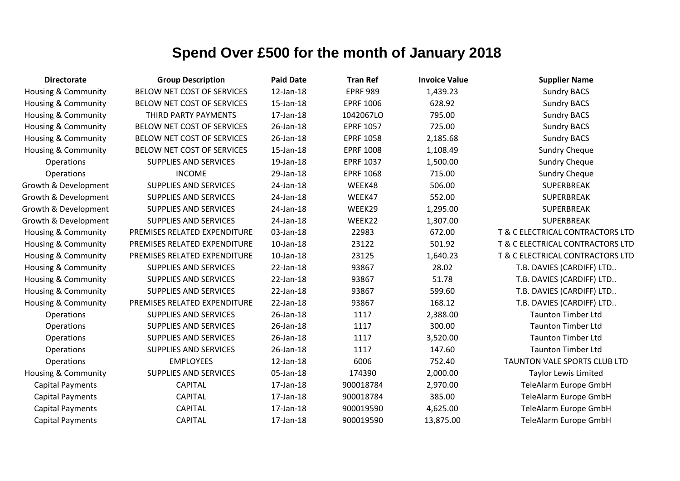| <b>Directorate</b>             | <b>Group Description</b>     | <b>Paid Date</b> | <b>Tran Ref</b>  | <b>Invoice Value</b> | <b>Supplier Name</b>             |
|--------------------------------|------------------------------|------------------|------------------|----------------------|----------------------------------|
| <b>Housing &amp; Community</b> | BELOW NET COST OF SERVICES   | 12-Jan-18        | <b>EPRF 989</b>  | 1,439.23             | <b>Sundry BACS</b>               |
| Housing & Community            | BELOW NET COST OF SERVICES   | 15-Jan-18        | <b>EPRF 1006</b> | 628.92               | <b>Sundry BACS</b>               |
| Housing & Community            | THIRD PARTY PAYMENTS         | 17-Jan-18        | 1042067LO        | 795.00               | <b>Sundry BACS</b>               |
| <b>Housing &amp; Community</b> | BELOW NET COST OF SERVICES   | 26-Jan-18        | <b>EPRF 1057</b> | 725.00               | <b>Sundry BACS</b>               |
| Housing & Community            | BELOW NET COST OF SERVICES   | 26-Jan-18        | <b>EPRF 1058</b> | 2,185.68             | <b>Sundry BACS</b>               |
| <b>Housing &amp; Community</b> | BELOW NET COST OF SERVICES   | 15-Jan-18        | <b>EPRF 1008</b> | 1,108.49             | <b>Sundry Cheque</b>             |
| Operations                     | <b>SUPPLIES AND SERVICES</b> | 19-Jan-18        | <b>EPRF 1037</b> | 1,500.00             | <b>Sundry Cheque</b>             |
| Operations                     | <b>INCOME</b>                | 29-Jan-18        | <b>EPRF 1068</b> | 715.00               | <b>Sundry Cheque</b>             |
| Growth & Development           | <b>SUPPLIES AND SERVICES</b> | 24-Jan-18        | WEEK48           | 506.00               | SUPERBREAK                       |
| Growth & Development           | <b>SUPPLIES AND SERVICES</b> | 24-Jan-18        | WEEK47           | 552.00               | <b>SUPERBREAK</b>                |
| Growth & Development           | <b>SUPPLIES AND SERVICES</b> | 24-Jan-18        | WEEK29           | 1,295.00             | <b>SUPERBREAK</b>                |
| Growth & Development           | <b>SUPPLIES AND SERVICES</b> | 24-Jan-18        | WEEK22           | 1,307.00             | <b>SUPERBREAK</b>                |
| Housing & Community            | PREMISES RELATED EXPENDITURE | 03-Jan-18        | 22983            | 672.00               | T & C ELECTRICAL CONTRACTORS LTD |
| <b>Housing &amp; Community</b> | PREMISES RELATED EXPENDITURE | 10-Jan-18        | 23122            | 501.92               | T & C ELECTRICAL CONTRACTORS LTD |
| Housing & Community            | PREMISES RELATED EXPENDITURE | 10-Jan-18        | 23125            | 1,640.23             | T & C ELECTRICAL CONTRACTORS LTD |
| Housing & Community            | <b>SUPPLIES AND SERVICES</b> | 22-Jan-18        | 93867            | 28.02                | T.B. DAVIES (CARDIFF) LTD        |
| <b>Housing &amp; Community</b> | <b>SUPPLIES AND SERVICES</b> | 22-Jan-18        | 93867            | 51.78                | T.B. DAVIES (CARDIFF) LTD        |
| Housing & Community            | <b>SUPPLIES AND SERVICES</b> | 22-Jan-18        | 93867            | 599.60               | T.B. DAVIES (CARDIFF) LTD        |
| <b>Housing &amp; Community</b> | PREMISES RELATED EXPENDITURE | 22-Jan-18        | 93867            | 168.12               | T.B. DAVIES (CARDIFF) LTD        |
| Operations                     | <b>SUPPLIES AND SERVICES</b> | 26-Jan-18        | 1117             | 2,388.00             | <b>Taunton Timber Ltd</b>        |
| Operations                     | <b>SUPPLIES AND SERVICES</b> | 26-Jan-18        | 1117             | 300.00               | <b>Taunton Timber Ltd</b>        |
| Operations                     | <b>SUPPLIES AND SERVICES</b> | 26-Jan-18        | 1117             | 3,520.00             | <b>Taunton Timber Ltd</b>        |
| Operations                     | <b>SUPPLIES AND SERVICES</b> | 26-Jan-18        | 1117             | 147.60               | <b>Taunton Timber Ltd</b>        |
| Operations                     | <b>EMPLOYEES</b>             | 12-Jan-18        | 6006             | 752.40               | TAUNTON VALE SPORTS CLUB LTD     |
| Housing & Community            | <b>SUPPLIES AND SERVICES</b> | 05-Jan-18        | 174390           | 2,000.00             | <b>Taylor Lewis Limited</b>      |
| <b>Capital Payments</b>        | <b>CAPITAL</b>               | 17-Jan-18        | 900018784        | 2,970.00             | TeleAlarm Europe GmbH            |
| <b>Capital Payments</b>        | <b>CAPITAL</b>               | 17-Jan-18        | 900018784        | 385.00               | TeleAlarm Europe GmbH            |
| <b>Capital Payments</b>        | <b>CAPITAL</b>               | 17-Jan-18        | 900019590        | 4,625.00             | TeleAlarm Europe GmbH            |
| <b>Capital Payments</b>        | <b>CAPITAL</b>               | 17-Jan-18        | 900019590        | 13,875.00            | TeleAlarm Europe GmbH            |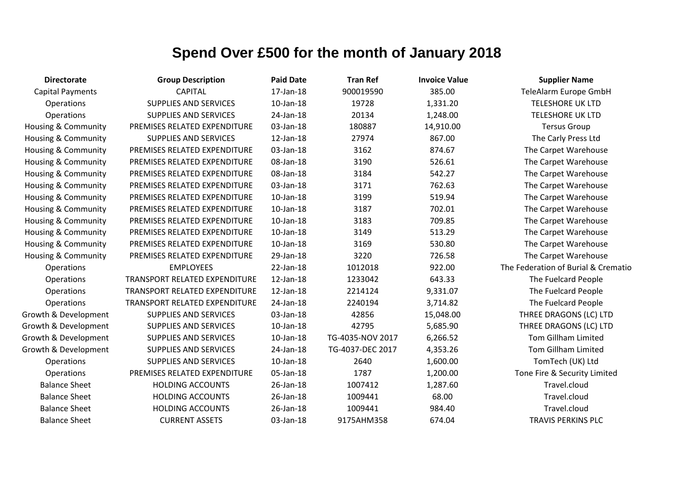| <b>Directorate</b>             | <b>Group Description</b>             | <b>Paid Date</b> | <b>Tran Ref</b>  | <b>Invoice Value</b> | <b>Supplier Name</b>                |
|--------------------------------|--------------------------------------|------------------|------------------|----------------------|-------------------------------------|
| <b>Capital Payments</b>        | <b>CAPITAL</b>                       | 17-Jan-18        | 900019590        | 385.00               | TeleAlarm Europe GmbH               |
| Operations                     | <b>SUPPLIES AND SERVICES</b>         | $10$ -Jan- $18$  | 19728            | 1,331.20             | <b>TELESHORE UK LTD</b>             |
| Operations                     | <b>SUPPLIES AND SERVICES</b>         | 24-Jan-18        | 20134            | 1,248.00             | <b>TELESHORE UK LTD</b>             |
| Housing & Community            | PREMISES RELATED EXPENDITURE         | 03-Jan-18        | 180887           | 14,910.00            | <b>Tersus Group</b>                 |
| Housing & Community            | <b>SUPPLIES AND SERVICES</b>         | 12-Jan-18        | 27974            | 867.00               | The Carly Press Ltd                 |
| <b>Housing &amp; Community</b> | PREMISES RELATED EXPENDITURE         | 03-Jan-18        | 3162             | 874.67               | The Carpet Warehouse                |
| Housing & Community            | PREMISES RELATED EXPENDITURE         | 08-Jan-18        | 3190             | 526.61               | The Carpet Warehouse                |
| Housing & Community            | PREMISES RELATED EXPENDITURE         | 08-Jan-18        | 3184             | 542.27               | The Carpet Warehouse                |
| Housing & Community            | PREMISES RELATED EXPENDITURE         | 03-Jan-18        | 3171             | 762.63               | The Carpet Warehouse                |
| <b>Housing &amp; Community</b> | PREMISES RELATED EXPENDITURE         | $10$ -Jan- $18$  | 3199             | 519.94               | The Carpet Warehouse                |
| Housing & Community            | PREMISES RELATED EXPENDITURE         | 10-Jan-18        | 3187             | 702.01               | The Carpet Warehouse                |
| Housing & Community            | PREMISES RELATED EXPENDITURE         | 10-Jan-18        | 3183             | 709.85               | The Carpet Warehouse                |
| Housing & Community            | PREMISES RELATED EXPENDITURE         | 10-Jan-18        | 3149             | 513.29               | The Carpet Warehouse                |
| Housing & Community            | PREMISES RELATED EXPENDITURE         | $10$ -Jan- $18$  | 3169             | 530.80               | The Carpet Warehouse                |
| Housing & Community            | PREMISES RELATED EXPENDITURE         | 29-Jan-18        | 3220             | 726.58               | The Carpet Warehouse                |
| Operations                     | <b>EMPLOYEES</b>                     | $22$ -Jan-18     | 1012018          | 922.00               | The Federation of Burial & Crematio |
| Operations                     | <b>TRANSPORT RELATED EXPENDITURE</b> | 12-Jan-18        | 1233042          | 643.33               | The Fuelcard People                 |
| Operations                     | TRANSPORT RELATED EXPENDITURE        | 12-Jan-18        | 2214124          | 9,331.07             | The Fuelcard People                 |
| Operations                     | TRANSPORT RELATED EXPENDITURE        | 24-Jan-18        | 2240194          | 3,714.82             | The Fuelcard People                 |
| Growth & Development           | <b>SUPPLIES AND SERVICES</b>         | 03-Jan-18        | 42856            | 15,048.00            | THREE DRAGONS (LC) LTD              |
| Growth & Development           | <b>SUPPLIES AND SERVICES</b>         | $10$ -Jan- $18$  | 42795            | 5,685.90             | THREE DRAGONS (LC) LTD              |
| Growth & Development           | <b>SUPPLIES AND SERVICES</b>         | 10-Jan-18        | TG-4035-NOV 2017 | 6,266.52             | <b>Tom Gillham Limited</b>          |
| Growth & Development           | <b>SUPPLIES AND SERVICES</b>         | 24-Jan-18        | TG-4037-DEC 2017 | 4,353.26             | Tom Gillham Limited                 |
| Operations                     | <b>SUPPLIES AND SERVICES</b>         | 10-Jan-18        | 2640             | 1,600.00             | TomTech (UK) Ltd                    |
| Operations                     | PREMISES RELATED EXPENDITURE         | 05-Jan-18        | 1787             | 1,200.00             | Tone Fire & Security Limited        |
| <b>Balance Sheet</b>           | <b>HOLDING ACCOUNTS</b>              | 26-Jan-18        | 1007412          | 1,287.60             | Travel.cloud                        |
| <b>Balance Sheet</b>           | <b>HOLDING ACCOUNTS</b>              | 26-Jan-18        | 1009441          | 68.00                | Travel.cloud                        |
| <b>Balance Sheet</b>           | <b>HOLDING ACCOUNTS</b>              | 26-Jan-18        | 1009441          | 984.40               | Travel.cloud                        |
| <b>Balance Sheet</b>           | <b>CURRENT ASSETS</b>                | 03-Jan-18        | 9175AHM358       | 674.04               | <b>TRAVIS PERKINS PLC</b>           |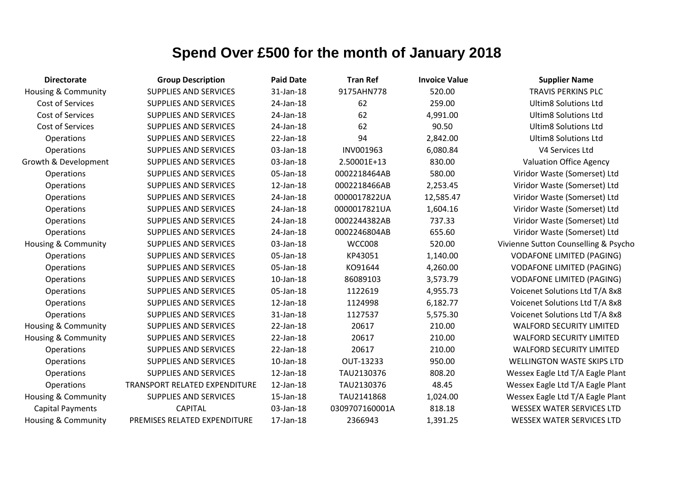| <b>Directorate</b>             | <b>Group Description</b>      | <b>Paid Date</b> | <b>Tran Ref</b> | <b>Invoice Value</b> | <b>Supplier Name</b>                 |
|--------------------------------|-------------------------------|------------------|-----------------|----------------------|--------------------------------------|
| Housing & Community            | <b>SUPPLIES AND SERVICES</b>  | 31-Jan-18        | 9175AHN778      | 520.00               | <b>TRAVIS PERKINS PLC</b>            |
| Cost of Services               | <b>SUPPLIES AND SERVICES</b>  | 24-Jan-18        | 62              | 259.00               | <b>Ultim8 Solutions Ltd</b>          |
| Cost of Services               | <b>SUPPLIES AND SERVICES</b>  | 24-Jan-18        | 62              | 4,991.00             | <b>Ultim8 Solutions Ltd</b>          |
| <b>Cost of Services</b>        | <b>SUPPLIES AND SERVICES</b>  | 24-Jan-18        | 62              | 90.50                | <b>Ultim8 Solutions Ltd</b>          |
| Operations                     | <b>SUPPLIES AND SERVICES</b>  | 22-Jan-18        | 94              | 2,842.00             | <b>Ultim8 Solutions Ltd</b>          |
| Operations                     | <b>SUPPLIES AND SERVICES</b>  | 03-Jan-18        | INV001963       | 6,080.84             | V4 Services Ltd                      |
| Growth & Development           | <b>SUPPLIES AND SERVICES</b>  | 03-Jan-18        | 2.50001E+13     | 830.00               | <b>Valuation Office Agency</b>       |
| <b>Operations</b>              | <b>SUPPLIES AND SERVICES</b>  | 05-Jan-18        | 0002218464AB    | 580.00               | Viridor Waste (Somerset) Ltd         |
| Operations                     | <b>SUPPLIES AND SERVICES</b>  | 12-Jan-18        | 0002218466AB    | 2,253.45             | Viridor Waste (Somerset) Ltd         |
| Operations                     | <b>SUPPLIES AND SERVICES</b>  | 24-Jan-18        | 0000017822UA    | 12,585.47            | Viridor Waste (Somerset) Ltd         |
| Operations                     | <b>SUPPLIES AND SERVICES</b>  | 24-Jan-18        | 0000017821UA    | 1,604.16             | Viridor Waste (Somerset) Ltd         |
| Operations                     | <b>SUPPLIES AND SERVICES</b>  | 24-Jan-18        | 0002244382AB    | 737.33               | Viridor Waste (Somerset) Ltd         |
| Operations                     | <b>SUPPLIES AND SERVICES</b>  | 24-Jan-18        | 0002246804AB    | 655.60               | Viridor Waste (Somerset) Ltd         |
| Housing & Community            | <b>SUPPLIES AND SERVICES</b>  | 03-Jan-18        | WCC008          | 520.00               | Vivienne Sutton Counselling & Psycho |
| Operations                     | <b>SUPPLIES AND SERVICES</b>  | 05-Jan-18        | KP43051         | 1,140.00             | <b>VODAFONE LIMITED (PAGING)</b>     |
| Operations                     | <b>SUPPLIES AND SERVICES</b>  | 05-Jan-18        | KO91644         | 4,260.00             | <b>VODAFONE LIMITED (PAGING)</b>     |
| Operations                     | <b>SUPPLIES AND SERVICES</b>  | 10-Jan-18        | 86089103        | 3,573.79             | <b>VODAFONE LIMITED (PAGING)</b>     |
| Operations                     | <b>SUPPLIES AND SERVICES</b>  | 05-Jan-18        | 1122619         | 4,955.73             | Voicenet Solutions Ltd T/A 8x8       |
| Operations                     | <b>SUPPLIES AND SERVICES</b>  | 12-Jan-18        | 1124998         | 6,182.77             | Voicenet Solutions Ltd T/A 8x8       |
| Operations                     | <b>SUPPLIES AND SERVICES</b>  | 31-Jan-18        | 1127537         | 5,575.30             | Voicenet Solutions Ltd T/A 8x8       |
| Housing & Community            | <b>SUPPLIES AND SERVICES</b>  | 22-Jan-18        | 20617           | 210.00               | <b>WALFORD SECURITY LIMITED</b>      |
| Housing & Community            | <b>SUPPLIES AND SERVICES</b>  | 22-Jan-18        | 20617           | 210.00               | <b>WALFORD SECURITY LIMITED</b>      |
| Operations                     | <b>SUPPLIES AND SERVICES</b>  | 22-Jan-18        | 20617           | 210.00               | <b>WALFORD SECURITY LIMITED</b>      |
| Operations                     | <b>SUPPLIES AND SERVICES</b>  | $10$ -Jan- $18$  | OUT-13233       | 950.00               | <b>WELLINGTON WASTE SKIPS LTD</b>    |
| Operations                     | <b>SUPPLIES AND SERVICES</b>  | 12-Jan-18        | TAU2130376      | 808.20               | Wessex Eagle Ltd T/A Eagle Plant     |
| Operations                     | TRANSPORT RELATED EXPENDITURE | 12-Jan-18        | TAU2130376      | 48.45                | Wessex Eagle Ltd T/A Eagle Plant     |
| <b>Housing &amp; Community</b> | <b>SUPPLIES AND SERVICES</b>  | 15-Jan-18        | TAU2141868      | 1,024.00             | Wessex Eagle Ltd T/A Eagle Plant     |
| <b>Capital Payments</b>        | <b>CAPITAL</b>                | 03-Jan-18        | 0309707160001A  | 818.18               | <b>WESSEX WATER SERVICES LTD</b>     |
| <b>Housing &amp; Community</b> | PREMISES RELATED EXPENDITURE  | 17-Jan-18        | 2366943         | 1,391.25             | <b>WESSEX WATER SERVICES LTD</b>     |